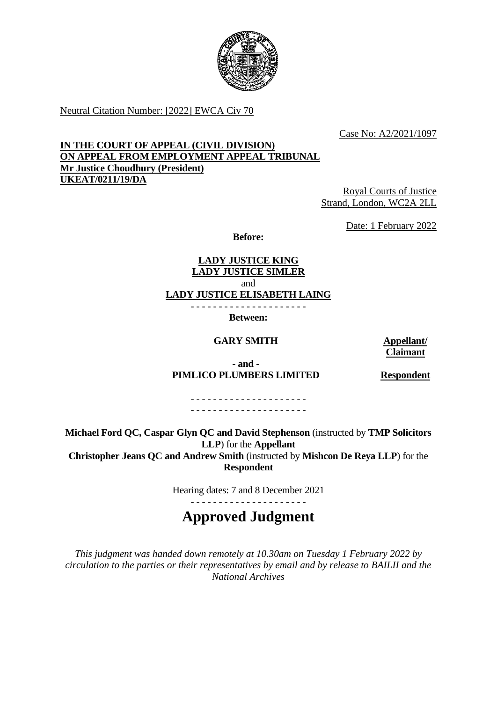

Neutral Citation Number: [2022] EWCA Civ 70

Case No: A2/2021/1097

## **IN THE COURT OF APPEAL (CIVIL DIVISION) ON APPEAL FROM EMPLOYMENT APPEAL TRIBUNAL Mr Justice Choudhury (President) UKEAT/0211/19/DA**

Royal Courts of Justice Strand, London, WC2A 2LL

Date: 1 February 2022

**Before:**

**LADY JUSTICE KING LADY JUSTICE SIMLER** and

**LADY JUSTICE ELISABETH LAING**

- - - - - - - - - - - - - - - - - - - - -

**Between:**

## **GARY SMITH Appellant/**

# **Claimant**

**- and - PIMLICO PLUMBERS LIMITED Respondent**

- - - - - - - - - - - - - - - - - - - - - - - - - - - - - - - - - - - - - - - - - -

**Michael Ford QC, Caspar Glyn QC and David Stephenson** (instructed by **TMP Solicitors LLP**) for the **Appellant Christopher Jeans QC and Andrew Smith** (instructed by **Mishcon De Reya LLP**) for the **Respondent**

Hearing dates: 7 and 8 December 2021

## - - - - - - - - - - - - - - - - - - - - - **Approved Judgment**

*This judgment was handed down remotely at 10.30am on Tuesday 1 February 2022 by circulation to the parties or their representatives by email and by release to BAILII and the National Archives*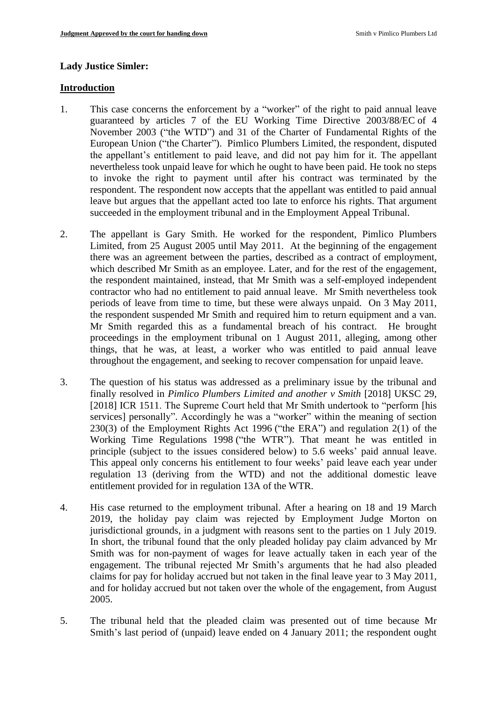#### **Lady Justice Simler:**

#### **Introduction**

- 1. This case concerns the enforcement by a "worker" of the right to paid annual leave guaranteed by articles 7 of the EU Working Time Directive 2003/88/EC of 4 November 2003 ("the WTD") and 31 of the Charter of Fundamental Rights of the European Union ("the Charter"). Pimlico Plumbers Limited, the respondent, disputed the appellant's entitlement to paid leave, and did not pay him for it. The appellant nevertheless took unpaid leave for which he ought to have been paid. He took no steps to invoke the right to payment until after his contract was terminated by the respondent. The respondent now accepts that the appellant was entitled to paid annual leave but argues that the appellant acted too late to enforce his rights. That argument succeeded in the employment tribunal and in the Employment Appeal Tribunal.
- 2. The appellant is Gary Smith. He worked for the respondent, Pimlico Plumbers Limited, from 25 August 2005 until May 2011. At the beginning of the engagement there was an agreement between the parties, described as a contract of employment, which described Mr Smith as an employee. Later, and for the rest of the engagement, the respondent maintained, instead, that Mr Smith was a self-employed independent contractor who had no entitlement to paid annual leave. Mr Smith nevertheless took periods of leave from time to time, but these were always unpaid. On 3 May 2011, the respondent suspended Mr Smith and required him to return equipment and a van. Mr Smith regarded this as a fundamental breach of his contract. He brought proceedings in the employment tribunal on 1 August 2011, alleging, among other things, that he was, at least, a worker who was entitled to paid annual leave throughout the engagement, and seeking to recover compensation for unpaid leave.
- 3. The question of his status was addressed as a preliminary issue by the tribunal and finally resolved in *Pimlico Plumbers Limited and another v Smith* [2018] UKSC 29, [2018] ICR 1511. The Supreme Court held that Mr Smith undertook to "perform [his services] personally". Accordingly he was a "worker" within the meaning of section 230(3) of the Employment Rights Act 1996 ("the ERA") and regulation 2(1) of the Working Time Regulations 1998 ("the WTR"). That meant he was entitled in principle (subject to the issues considered below) to 5.6 weeks' paid annual leave. This appeal only concerns his entitlement to four weeks' paid leave each year under regulation 13 (deriving from the WTD) and not the additional domestic leave entitlement provided for in regulation 13A of the WTR.
- 4. His case returned to the employment tribunal. After a hearing on 18 and 19 March 2019, the holiday pay claim was rejected by Employment Judge Morton on jurisdictional grounds, in a judgment with reasons sent to the parties on 1 July 2019. In short, the tribunal found that the only pleaded holiday pay claim advanced by Mr Smith was for non-payment of wages for leave actually taken in each year of the engagement. The tribunal rejected Mr Smith's arguments that he had also pleaded claims for pay for holiday accrued but not taken in the final leave year to 3 May 2011, and for holiday accrued but not taken over the whole of the engagement, from August 2005.
- 5. The tribunal held that the pleaded claim was presented out of time because Mr Smith's last period of (unpaid) leave ended on 4 January 2011; the respondent ought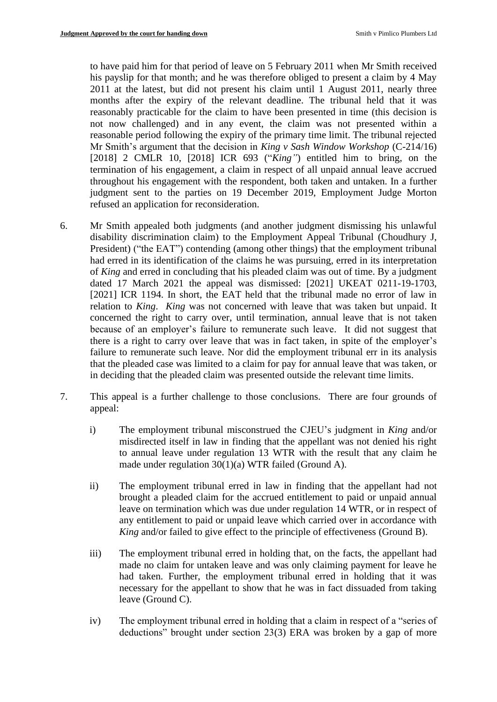to have paid him for that period of leave on 5 February 2011 when Mr Smith received his payslip for that month; and he was therefore obliged to present a claim by 4 May 2011 at the latest, but did not present his claim until 1 August 2011, nearly three months after the expiry of the relevant deadline. The tribunal held that it was reasonably practicable for the claim to have been presented in time (this decision is not now challenged) and in any event, the claim was not presented within a reasonable period following the expiry of the primary time limit. The tribunal rejected Mr Smith's argument that the decision in *King v Sash Window Workshop* (C-214/16) [2018] 2 CMLR 10, [2018] ICR 693 ("*King"*) entitled him to bring, on the termination of his engagement, a claim in respect of all unpaid annual leave accrued throughout his engagement with the respondent, both taken and untaken. In a further judgment sent to the parties on 19 December 2019, Employment Judge Morton refused an application for reconsideration.

- 6. Mr Smith appealed both judgments (and another judgment dismissing his unlawful disability discrimination claim) to the Employment Appeal Tribunal (Choudhury J, President) ("the EAT") contending (among other things) that the employment tribunal had erred in its identification of the claims he was pursuing, erred in its interpretation of *King* and erred in concluding that his pleaded claim was out of time. By a judgment dated 17 March 2021 the appeal was dismissed: [2021] UKEAT 0211-19-1703, [2021] ICR 1194. In short, the EAT held that the tribunal made no error of law in relation to *King*. *King* was not concerned with leave that was taken but unpaid. It concerned the right to carry over, until termination, annual leave that is not taken because of an employer's failure to remunerate such leave. It did not suggest that there is a right to carry over leave that was in fact taken, in spite of the employer's failure to remunerate such leave. Nor did the employment tribunal err in its analysis that the pleaded case was limited to a claim for pay for annual leave that was taken, or in deciding that the pleaded claim was presented outside the relevant time limits.
- 7. This appeal is a further challenge to those conclusions. There are four grounds of appeal:
	- i) The employment tribunal misconstrued the CJEU's judgment in *King* and/or misdirected itself in law in finding that the appellant was not denied his right to annual leave under regulation 13 WTR with the result that any claim he made under regulation 30(1)(a) WTR failed (Ground A).
	- ii) The employment tribunal erred in law in finding that the appellant had not brought a pleaded claim for the accrued entitlement to paid or unpaid annual leave on termination which was due under regulation 14 WTR, or in respect of any entitlement to paid or unpaid leave which carried over in accordance with *King* and/or failed to give effect to the principle of effectiveness (Ground B).
	- iii) The employment tribunal erred in holding that, on the facts, the appellant had made no claim for untaken leave and was only claiming payment for leave he had taken. Further, the employment tribunal erred in holding that it was necessary for the appellant to show that he was in fact dissuaded from taking leave (Ground C).
	- iv) The employment tribunal erred in holding that a claim in respect of a "series of deductions" brought under section 23(3) ERA was broken by a gap of more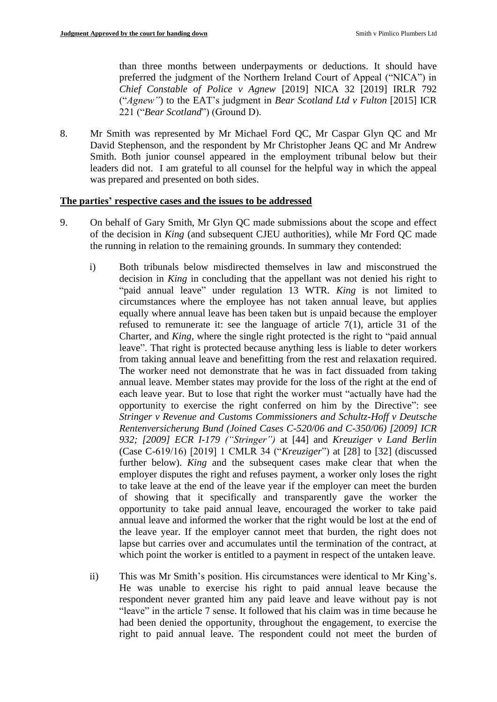than three months between underpayments or deductions. It should have preferred the judgment of the Northern Ireland Court of Appeal ("NICA") in *Chief Constable of Police v Agnew* [2019] NICA 32 [2019] IRLR 792 ("*Agnew"*) to the EAT's judgment in *Bear Scotland Ltd v Fulton* [2015] ICR 221 ("*Bear Scotland*") (Ground D).

8. Mr Smith was represented by Mr Michael Ford QC, Mr Caspar Glyn QC and Mr David Stephenson, and the respondent by Mr Christopher Jeans QC and Mr Andrew Smith. Both junior counsel appeared in the employment tribunal below but their leaders did not. I am grateful to all counsel for the helpful way in which the appeal was prepared and presented on both sides.

## **The parties' respective cases and the issues to be addressed**

- 9. On behalf of Gary Smith, Mr Glyn QC made submissions about the scope and effect of the decision in *King* (and subsequent CJEU authorities), while Mr Ford QC made the running in relation to the remaining grounds. In summary they contended:
	- i) Both tribunals below misdirected themselves in law and misconstrued the decision in *King* in concluding that the appellant was not denied his right to "paid annual leave" under regulation 13 WTR. *King* is not limited to circumstances where the employee has not taken annual leave, but applies equally where annual leave has been taken but is unpaid because the employer refused to remunerate it: see the language of article 7(1), article 31 of the Charter, and *King*, where the single right protected is the right to "paid annual leave". That right is protected because anything less is liable to deter workers from taking annual leave and benefitting from the rest and relaxation required. The worker need not demonstrate that he was in fact dissuaded from taking annual leave. Member states may provide for the loss of the right at the end of each leave year. But to lose that right the worker must "actually have had the opportunity to exercise the right conferred on him by the Directive": see *Stringer v Revenue and Customs Commissioners and Schultz-Hoff v Deutsche Rentenversicherung Bund (Joined Cases C-520/06 and C-350/06) [2009] ICR 932; [2009] ECR I-179 ("Stringer")* at [44] and *Kreuziger v Land Berlin* (Case C-619/16) [2019] 1 CMLR 34 ("*Kreuziger*") at [28] to [32] (discussed further below). *King* and the subsequent cases make clear that when the employer disputes the right and refuses payment, a worker only loses the right to take leave at the end of the leave year if the employer can meet the burden of showing that it specifically and transparently gave the worker the opportunity to take paid annual leave, encouraged the worker to take paid annual leave and informed the worker that the right would be lost at the end of the leave year. If the employer cannot meet that burden, the right does not lapse but carries over and accumulates until the termination of the contract, at which point the worker is entitled to a payment in respect of the untaken leave.
	- ii) This was Mr Smith's position. His circumstances were identical to Mr King's. He was unable to exercise his right to paid annual leave because the respondent never granted him any paid leave and leave without pay is not "leave" in the article 7 sense. It followed that his claim was in time because he had been denied the opportunity, throughout the engagement, to exercise the right to paid annual leave. The respondent could not meet the burden of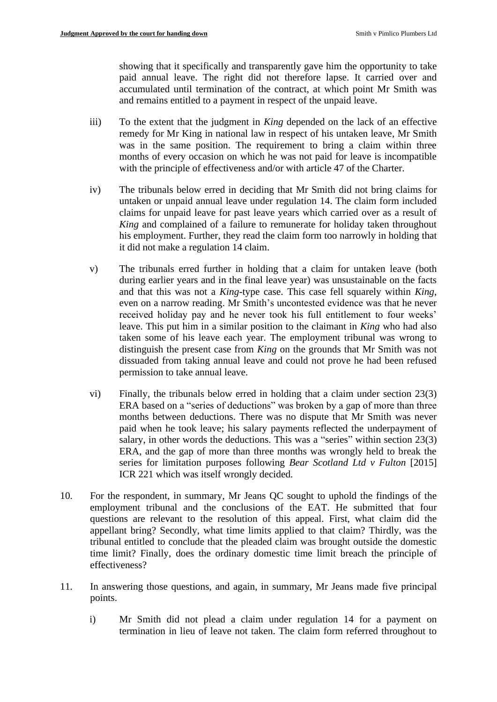showing that it specifically and transparently gave him the opportunity to take paid annual leave. The right did not therefore lapse. It carried over and accumulated until termination of the contract, at which point Mr Smith was and remains entitled to a payment in respect of the unpaid leave.

- iii) To the extent that the judgment in *King* depended on the lack of an effective remedy for Mr King in national law in respect of his untaken leave, Mr Smith was in the same position. The requirement to bring a claim within three months of every occasion on which he was not paid for leave is incompatible with the principle of effectiveness and/or with article 47 of the Charter.
- iv) The tribunals below erred in deciding that Mr Smith did not bring claims for untaken or unpaid annual leave under regulation 14. The claim form included claims for unpaid leave for past leave years which carried over as a result of *King* and complained of a failure to remunerate for holiday taken throughout his employment. Further, they read the claim form too narrowly in holding that it did not make a regulation 14 claim.
- v) The tribunals erred further in holding that a claim for untaken leave (both during earlier years and in the final leave year) was unsustainable on the facts and that this was not a *King-*type case. This case fell squarely within *King*, even on a narrow reading. Mr Smith's uncontested evidence was that he never received holiday pay and he never took his full entitlement to four weeks' leave. This put him in a similar position to the claimant in *King* who had also taken some of his leave each year. The employment tribunal was wrong to distinguish the present case from *King* on the grounds that Mr Smith was not dissuaded from taking annual leave and could not prove he had been refused permission to take annual leave.
- vi) Finally, the tribunals below erred in holding that a claim under section 23(3) ERA based on a "series of deductions" was broken by a gap of more than three months between deductions. There was no dispute that Mr Smith was never paid when he took leave; his salary payments reflected the underpayment of salary, in other words the deductions. This was a "series" within section 23(3) ERA, and the gap of more than three months was wrongly held to break the series for limitation purposes following *Bear Scotland Ltd v Fulton* [2015] ICR 221 which was itself wrongly decided.
- 10. For the respondent, in summary, Mr Jeans QC sought to uphold the findings of the employment tribunal and the conclusions of the EAT. He submitted that four questions are relevant to the resolution of this appeal. First, what claim did the appellant bring? Secondly, what time limits applied to that claim? Thirdly, was the tribunal entitled to conclude that the pleaded claim was brought outside the domestic time limit? Finally, does the ordinary domestic time limit breach the principle of effectiveness?
- 11. In answering those questions, and again, in summary, Mr Jeans made five principal points.
	- i) Mr Smith did not plead a claim under regulation 14 for a payment on termination in lieu of leave not taken. The claim form referred throughout to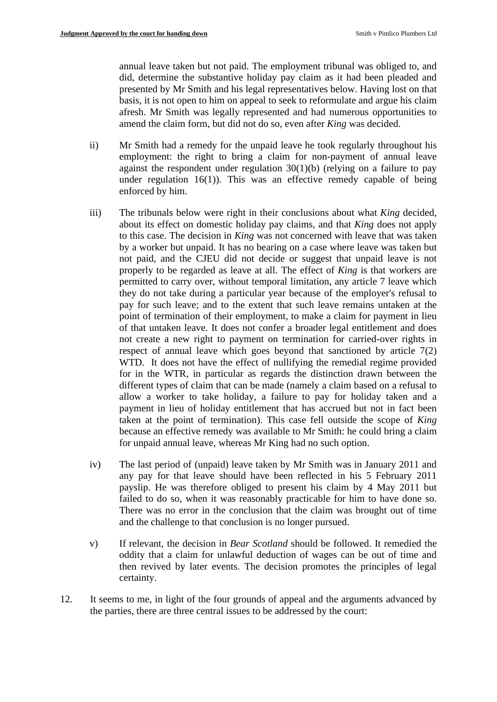annual leave taken but not paid. The employment tribunal was obliged to, and did, determine the substantive holiday pay claim as it had been pleaded and presented by Mr Smith and his legal representatives below. Having lost on that basis, it is not open to him on appeal to seek to reformulate and argue his claim afresh. Mr Smith was legally represented and had numerous opportunities to amend the claim form, but did not do so, even after *King* was decided.

- ii) Mr Smith had a remedy for the unpaid leave he took regularly throughout his employment: the right to bring a claim for non-payment of annual leave against the respondent under regulation  $30(1)(b)$  (relying on a failure to pay under regulation  $16(1)$ ). This was an effective remedy capable of being enforced by him.
- iii) The tribunals below were right in their conclusions about what *King* decided, about its effect on domestic holiday pay claims, and that *King* does not apply to this case. The decision in *King* was not concerned with leave that was taken by a worker but unpaid. It has no bearing on a case where leave was taken but not paid, and the CJEU did not decide or suggest that unpaid leave is not properly to be regarded as leave at all. The effect of *King* is that workers are permitted to carry over, without temporal limitation, any article 7 leave which they do not take during a particular year because of the employer's refusal to pay for such leave; and to the extent that such leave remains untaken at the point of termination of their employment, to make a claim for payment in lieu of that untaken leave. It does not confer a broader legal entitlement and does not create a new right to payment on termination for carried-over rights in respect of annual leave which goes beyond that sanctioned by article 7(2) WTD. It does not have the effect of nullifying the remedial regime provided for in the WTR, in particular as regards the distinction drawn between the different types of claim that can be made (namely a claim based on a refusal to allow a worker to take holiday, a failure to pay for holiday taken and a payment in lieu of holiday entitlement that has accrued but not in fact been taken at the point of termination). This case fell outside the scope of *King*  because an effective remedy was available to Mr Smith: he could bring a claim for unpaid annual leave, whereas Mr King had no such option.
- iv) The last period of (unpaid) leave taken by Mr Smith was in January 2011 and any pay for that leave should have been reflected in his 5 February 2011 payslip. He was therefore obliged to present his claim by 4 May 2011 but failed to do so, when it was reasonably practicable for him to have done so. There was no error in the conclusion that the claim was brought out of time and the challenge to that conclusion is no longer pursued.
- v) If relevant, the decision in *Bear Scotland* should be followed. It remedied the oddity that a claim for unlawful deduction of wages can be out of time and then revived by later events. The decision promotes the principles of legal certainty.
- 12. It seems to me, in light of the four grounds of appeal and the arguments advanced by the parties, there are three central issues to be addressed by the court: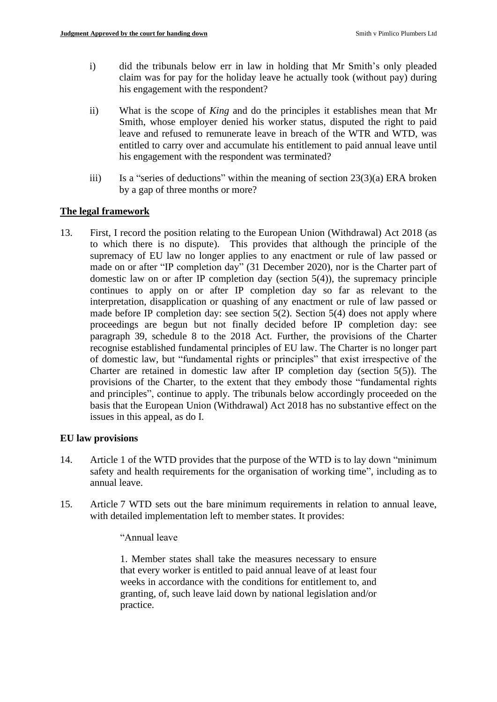- i) did the tribunals below err in law in holding that Mr Smith's only pleaded claim was for pay for the holiday leave he actually took (without pay) during his engagement with the respondent?
- ii) What is the scope of *King* and do the principles it establishes mean that Mr Smith, whose employer denied his worker status, disputed the right to paid leave and refused to remunerate leave in breach of the WTR and WTD, was entitled to carry over and accumulate his entitlement to paid annual leave until his engagement with the respondent was terminated?
- iii) Is a "series of deductions" within the meaning of section  $23(3)(a)$  ERA broken by a gap of three months or more?

## **The legal framework**

13. First, I record the position relating to the European Union (Withdrawal) Act 2018 (as to which there is no dispute). This provides that although the principle of the supremacy of EU law no longer applies to any enactment or rule of law passed or made on or after "IP completion day" (31 December 2020), nor is the Charter part of domestic law on or after IP completion day (section  $5(4)$ ), the supremacy principle continues to apply on or after IP completion day so far as relevant to the interpretation, disapplication or quashing of any enactment or rule of law passed or made before IP completion day: see section  $5(2)$ . Section  $5(4)$  does not apply where proceedings are begun but not finally decided before IP completion day: see paragraph 39, schedule 8 to the 2018 Act. Further, the provisions of the Charter recognise established fundamental principles of EU law. The Charter is no longer part of domestic law, but "fundamental rights or principles" that exist irrespective of the Charter are retained in domestic law after IP completion day (section 5(5)). The provisions of the Charter, to the extent that they embody those "fundamental rights and principles", continue to apply. The tribunals below accordingly proceeded on the basis that the European Union (Withdrawal) Act 2018 has no substantive effect on the issues in this appeal, as do I.

#### **EU law provisions**

- 14. Article 1 of the WTD provides that the purpose of the WTD is to lay down "minimum safety and health requirements for the organisation of working time", including as to annual leave.
- 15. Article 7 WTD sets out the bare minimum requirements in relation to annual leave, with detailed implementation left to member states. It provides:

#### "Annual leave

1. Member states shall take the measures necessary to ensure that every worker is entitled to paid annual leave of at least four weeks in accordance with the conditions for entitlement to, and granting, of, such leave laid down by national legislation and/or practice.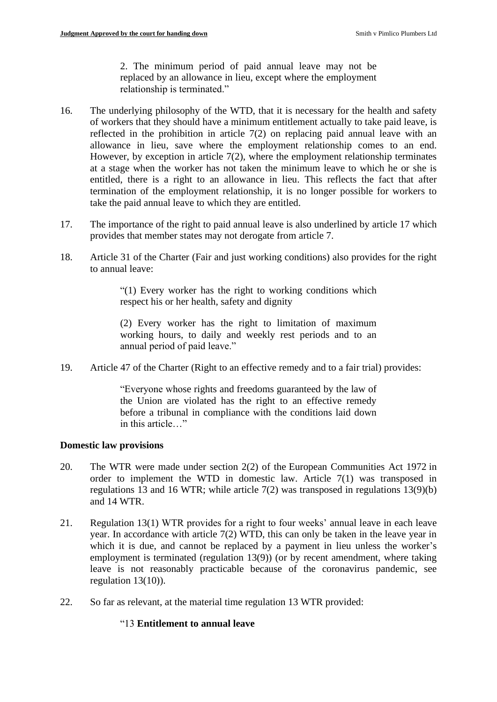2. The minimum period of paid annual leave may not be replaced by an allowance in lieu, except where the employment relationship is terminated."

- 16. The underlying philosophy of the WTD, that it is necessary for the health and safety of workers that they should have a minimum entitlement actually to take paid leave, is reflected in the prohibition in article 7(2) on replacing paid annual leave with an allowance in lieu, save where the employment relationship comes to an end. However, by exception in article  $7(2)$ , where the employment relationship terminates at a stage when the worker has not taken the minimum leave to which he or she is entitled, there is a right to an allowance in lieu. This reflects the fact that after termination of the employment relationship, it is no longer possible for workers to take the paid annual leave to which they are entitled.
- 17. The importance of the right to paid annual leave is also underlined by article 17 which provides that member states may not derogate from article 7.
- 18. Article 31 of the Charter (Fair and just working conditions) also provides for the right to annual leave:

"(1) Every worker has the right to working conditions which respect his or her health, safety and dignity

(2) Every worker has the right to limitation of maximum working hours, to daily and weekly rest periods and to an annual period of paid leave."

19. Article 47 of the Charter (Right to an effective remedy and to a fair trial) provides:

"Everyone whose rights and freedoms guaranteed by the law of the Union are violated has the right to an effective remedy before a tribunal in compliance with the conditions laid down in this article…"

## **Domestic law provisions**

- 20. The WTR were made under section 2(2) of the European Communities Act 1972 in order to implement the WTD in domestic law. Article 7(1) was transposed in regulations 13 and 16 WTR; while article 7(2) was transposed in regulations 13(9)(b) and 14 WTR.
- 21. Regulation 13(1) WTR provides for a right to four weeks' annual leave in each leave year. In accordance with article 7(2) WTD, this can only be taken in the leave year in which it is due, and cannot be replaced by a payment in lieu unless the worker's employment is terminated (regulation 13(9)) (or by recent amendment, where taking leave is not reasonably practicable because of the coronavirus pandemic, see regulation 13(10)).
- 22. So far as relevant, at the material time regulation 13 WTR provided:

## "13 **Entitlement to annual leave**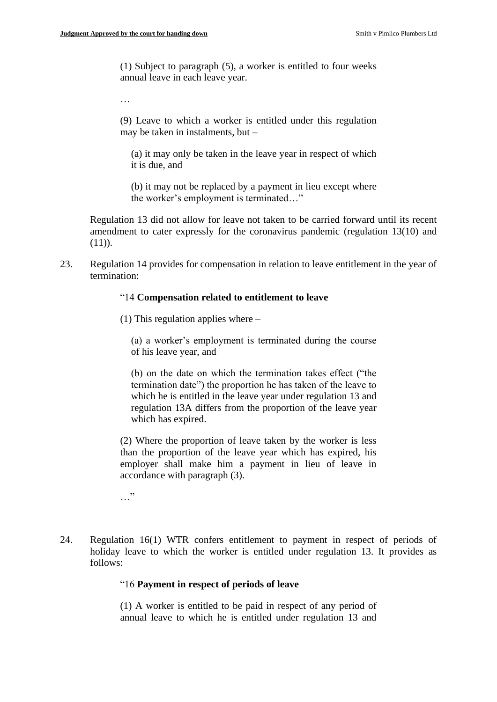(1) Subject to paragraph (5), a worker is entitled to four weeks annual leave in each leave year.

…

(9) Leave to which a worker is entitled under this regulation may be taken in instalments, but –

(a) it may only be taken in the leave year in respect of which it is due, and

(b) it may not be replaced by a payment in lieu except where the worker's employment is terminated…"

Regulation 13 did not allow for leave not taken to be carried forward until its recent amendment to cater expressly for the coronavirus pandemic (regulation 13(10) and  $(11)$ ).

23. Regulation 14 provides for compensation in relation to leave entitlement in the year of termination:

#### "14 **Compensation related to entitlement to leave**

(1) This regulation applies where –

(a) a worker's employment is terminated during the course of his leave year, and

(b) on the date on which the termination takes effect ("the termination date") the proportion he has taken of the leave to which he is entitled in the leave year under regulation 13 and regulation 13A differs from the proportion of the leave year which has expired.

(2) Where the proportion of leave taken by the worker is less than the proportion of the leave year which has expired, his employer shall make him a payment in lieu of leave in accordance with paragraph (3).

…"

24. Regulation 16(1) WTR confers entitlement to payment in respect of periods of holiday leave to which the worker is entitled under regulation 13. It provides as follows:

#### "16 **Payment in respect of periods of leave**

(1) A worker is entitled to be paid in respect of any period of annual leave to which he is entitled under regulation 13 and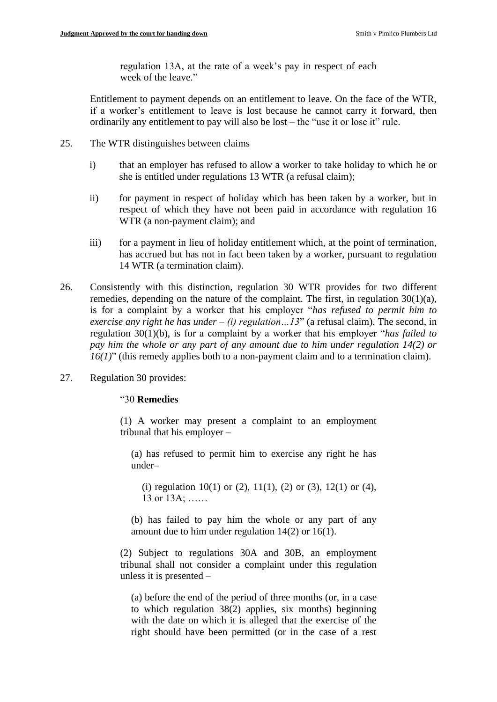regulation 13A, at the rate of a week's pay in respect of each week of the leave."

Entitlement to payment depends on an entitlement to leave. On the face of the WTR, if a worker's entitlement to leave is lost because he cannot carry it forward, then ordinarily any entitlement to pay will also be lost – the "use it or lose it" rule.

- 25. The WTR distinguishes between claims
	- i) that an employer has refused to allow a worker to take holiday to which he or she is entitled under regulations 13 WTR (a refusal claim);
	- ii) for payment in respect of holiday which has been taken by a worker, but in respect of which they have not been paid in accordance with regulation 16 WTR (a non-payment claim); and
	- iii) for a payment in lieu of holiday entitlement which, at the point of termination, has accrued but has not in fact been taken by a worker, pursuant to regulation 14 WTR (a termination claim).
- 26. Consistently with this distinction, regulation 30 WTR provides for two different remedies, depending on the nature of the complaint. The first, in regulation 30(1)(a), is for a complaint by a worker that his employer "*has refused to permit him to exercise any right he has under – (i) regulation…13*" (a refusal claim). The second, in regulation 30(1)(b), is for a complaint by a worker that his employer "*has failed to pay him the whole or any part of any amount due to him under regulation 14(2) or 16(1)*" (this remedy applies both to a non-payment claim and to a termination claim).
- 27. Regulation 30 provides:

#### "30 **Remedies**

(1) A worker may present a complaint to an employment tribunal that his employer –

(a) has refused to permit him to exercise any right he has under–

(i) regulation 10(1) or (2), 11(1), (2) or (3), 12(1) or (4), 13 or 13A; ……

(b) has failed to pay him the whole or any part of any amount due to him under regulation 14(2) or 16(1).

(2) Subject to regulations 30A and 30B, an employment tribunal shall not consider a complaint under this regulation unless it is presented –

(a) before the end of the period of three months (or, in a case to which regulation 38(2) applies, six months) beginning with the date on which it is alleged that the exercise of the right should have been permitted (or in the case of a rest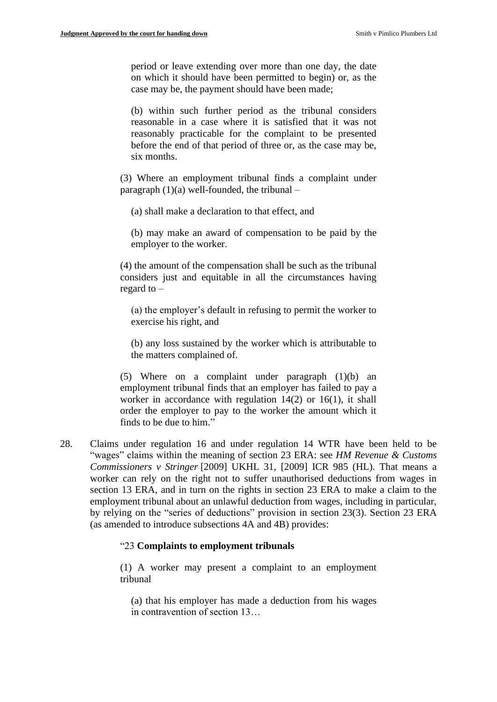period or leave extending over more than one day, the date on which it should have been permitted to begin) or, as the case may be, the payment should have been made;

(b) within such further period as the tribunal considers reasonable in a case where it is satisfied that it was not reasonably practicable for the complaint to be presented before the end of that period of three or, as the case may be, six months.

(3) Where an employment tribunal finds a complaint under paragraph  $(1)(a)$  well-founded, the tribunal –

(a) shall make a declaration to that effect, and

(b) may make an award of compensation to be paid by the employer to the worker.

(4) the amount of the compensation shall be such as the tribunal considers just and equitable in all the circumstances having regard to –

(a) the employer's default in refusing to permit the worker to exercise his right, and

(b) any loss sustained by the worker which is attributable to the matters complained of.

(5) Where on a complaint under paragraph (1)(b) an employment tribunal finds that an employer has failed to pay a worker in accordance with regulation 14(2) or 16(1), it shall order the employer to pay to the worker the amount which it finds to be due to him."

28. Claims under regulation 16 and under regulation 14 WTR have been held to be "wages" claims within the meaning of section 23 ERA: see *HM Revenue & Customs Commissioners v Stringer* [2009] UKHL 31, [2009] ICR 985 (HL). That means a worker can rely on the right not to suffer unauthorised deductions from wages in section 13 ERA, and in turn on the rights in section 23 ERA to make a claim to the employment tribunal about an unlawful deduction from wages, including in particular, by relying on the "series of deductions" provision in section 23(3). Section 23 ERA (as amended to introduce subsections 4A and 4B) provides:

#### "23 **Complaints to employment tribunals**

(1) A worker may present a complaint to an employment tribunal

(a) that his employer has made a deduction from his wages in contravention of section 13…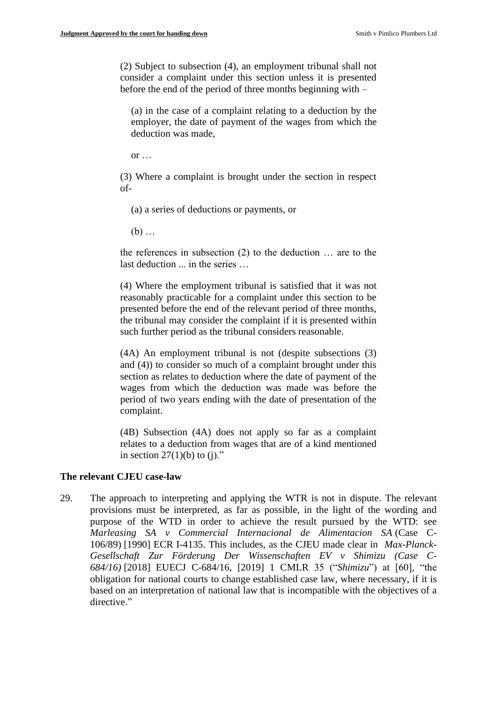(2) Subject to subsection (4), an employment tribunal shall not consider a complaint under this section unless it is presented before the end of the period of three months beginning with –

(a) in the case of a complaint relating to a deduction by the employer, the date of payment of the wages from which the deduction was made,

or  $\dots$ 

(3) Where a complaint is brought under the section in respect of-

(a) a series of deductions or payments, or

 $(b)$  ...

the references in subsection (2) to the deduction … are to the last deduction ... in the series …

(4) Where the employment tribunal is satisfied that it was not reasonably practicable for a complaint under this section to be presented before the end of the relevant period of three months, the tribunal may consider the complaint if it is presented within such further period as the tribunal considers reasonable.

(4A) An employment tribunal is not (despite subsections (3) and (4)) to consider so much of a complaint brought under this section as relates to deduction where the date of payment of the wages from which the deduction was made was before the period of two years ending with the date of presentation of the complaint.

(4B) Subsection (4A) does not apply so far as a complaint relates to a deduction from wages that are of a kind mentioned in section  $27(1)(b)$  to (j)."

#### **The relevant CJEU case-law**

29. The approach to interpreting and applying the WTR is not in dispute. The relevant provisions must be interpreted, as far as possible, in the light of the wording and purpose of the WTD in order to achieve the result pursued by the WTD: see *Marleasing SA v Commercial Internacional de Alimentacion SA* (Case C-106/89) [\[1990\] ECR I-4135.](https://www.bailii.org/cgi-bin/redirect.cgi?path=/eu/cases/EUECJ/1990/C10689.html) This includes, as the CJEU made clear in *Max-Planck-Gesellschaft Zur Förderung Der Wissenschaften EV v Shimizu (Case C-684/16)* [2018] EUECJ C-684/16, [2019] 1 CMLR 35 ("*Shimizu*") at [60], "the obligation for national courts to change established case law, where necessary, if it is based on an interpretation of national law that is incompatible with the objectives of a directive."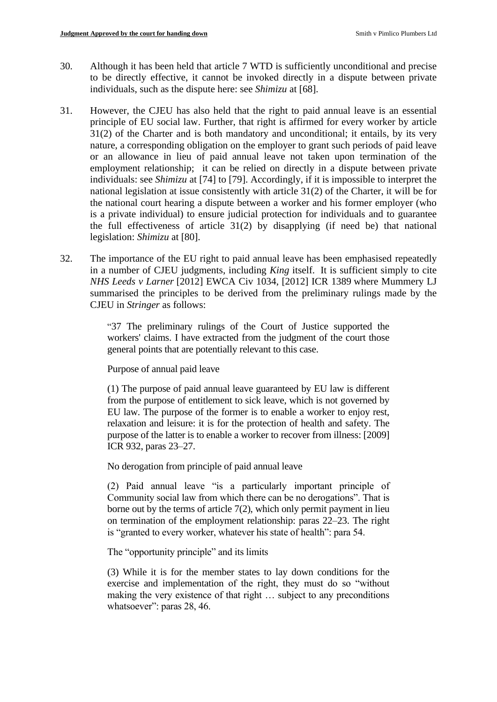- 30. Although it has been held that article 7 WTD is sufficiently unconditional and precise to be directly effective, it cannot be invoked directly in a dispute between private individuals, such as the dispute here: see *Shimizu* at [68].
- 31. However, the CJEU has also held that the right to paid annual leave is an essential principle of EU social law. Further, that right is affirmed for every worker by article 31(2) of the Charter and is both mandatory and unconditional; it entails, by its very nature, a corresponding obligation on the employer to grant such periods of paid leave or an allowance in lieu of paid annual leave not taken upon termination of the employment relationship; it can be relied on directly in a dispute between private individuals: see *Shimizu* at [74] to [79]. Accordingly, if it is impossible to interpret the national legislation at issue consistently with article 31(2) of the Charter, it will be for the national court hearing a dispute between a worker and his former employer (who is a private individual) to ensure judicial protection for individuals and to guarantee the full effectiveness of article  $31(2)$  by disapplying (if need be) that national legislation: *Shimizu* at [80].
- 32. The importance of the EU right to paid annual leave has been emphasised repeatedly in a number of CJEU judgments, including *King* itself. It is sufficient simply to cite *NHS Leeds v Larner* [\[2012\] EWCA Civ 1034, \[2012\] ICR 1389](https://www.bailii.org/cgi-bin/redirect.cgi?path=/ew/cases/EWCA/Civ/2012/1034.html) where Mummery LJ summarised the principles to be derived from the preliminary rulings made by the CJEU in *Stringer* as follows:

"37 The preliminary rulings of the Court of Justice supported the workers' claims. I have extracted from the judgment of the court those general points that are potentially relevant to this case.

Purpose of annual paid leave

(1) The purpose of paid annual leave guaranteed by EU law is different from the purpose of entitlement to sick leave, which is not governed by EU law. The purpose of the former is to enable a worker to enjoy rest, relaxation and leisure: it is for the protection of health and safety. The purpose of the latter is to enable a worker to recover from illness: [\[2009\]](https://www.bailii.org/cgi-bin/redirect.cgi?path=/eu/cases/EUECJ/2009/C52006.html)  [ICR 932,](https://www.bailii.org/cgi-bin/redirect.cgi?path=/eu/cases/EUECJ/2009/C52006.html) paras 23–27.

No derogation from principle of paid annual leave

(2) Paid annual leave "is a particularly important principle of Community social law from which there can be no derogations". That is borne out by the terms of article 7(2), which only permit payment in lieu on termination of the employment relationship: paras 22–23. The right is "granted to every worker, whatever his state of health": para 54.

The "opportunity principle" and its limits

(3) While it is for the member states to lay down conditions for the exercise and implementation of the right, they must do so "without making the very existence of that right … subject to any preconditions whatsoever": paras 28, 46.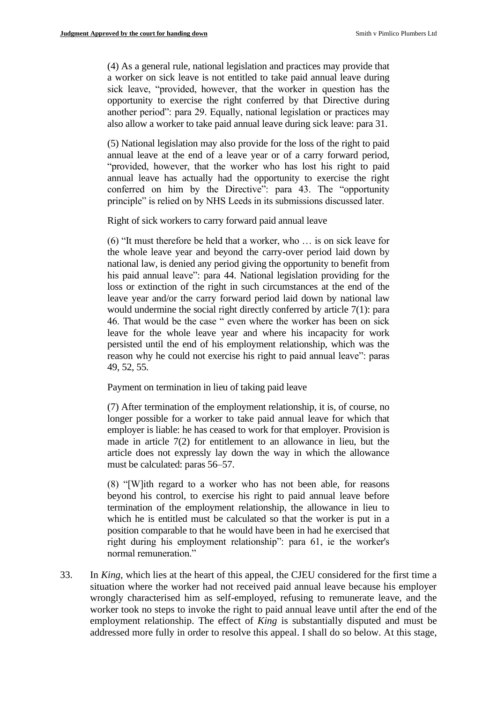(4) As a general rule, national legislation and practices may provide that a worker on sick leave is not entitled to take paid annual leave during sick leave, "provided, however, that the worker in question has the opportunity to exercise the right conferred by that Directive during another period": para 29. Equally, national legislation or practices may also allow a worker to take paid annual leave during sick leave: para 31.

(5) National legislation may also provide for the loss of the right to paid annual leave at the end of a leave year or of a carry forward period, "provided, however, that the worker who has lost his right to paid annual leave has actually had the opportunity to exercise the right conferred on him by the Directive": para 43. The "opportunity principle" is relied on by NHS Leeds in its submissions discussed later.

Right of sick workers to carry forward paid annual leave

(6) "It must therefore be held that a worker, who … is on sick leave for the whole leave year and beyond the carry-over period laid down by national law, is denied any period giving the opportunity to benefit from his paid annual leave": para 44. National legislation providing for the loss or extinction of the right in such circumstances at the end of the leave year and/or the carry forward period laid down by national law would undermine the social right directly conferred by article 7(1): para 46. That would be the case " even where the worker has been on sick leave for the whole leave year and where his incapacity for work persisted until the end of his employment relationship, which was the reason why he could not exercise his right to paid annual leave": paras 49, 52, 55.

Payment on termination in lieu of taking paid leave

(7) After termination of the employment relationship, it is, of course, no longer possible for a worker to take paid annual leave for which that employer is liable: he has ceased to work for that employer. Provision is made in article 7(2) for entitlement to an allowance in lieu, but the article does not expressly lay down the way in which the allowance must be calculated: paras 56–57.

(8) "[W]ith regard to a worker who has not been able, for reasons beyond his control, to exercise his right to paid annual leave before termination of the employment relationship, the allowance in lieu to which he is entitled must be calculated so that the worker is put in a position comparable to that he would have been in had he exercised that right during his employment relationship": para 61, ie the worker's normal remuneration."

33. In *King*, which lies at the heart of this appeal, the CJEU considered for the first time a situation where the worker had not received paid annual leave because his employer wrongly characterised him as self-employed, refusing to remunerate leave, and the worker took no steps to invoke the right to paid annual leave until after the end of the employment relationship. The effect of *King* is substantially disputed and must be addressed more fully in order to resolve this appeal. I shall do so below. At this stage,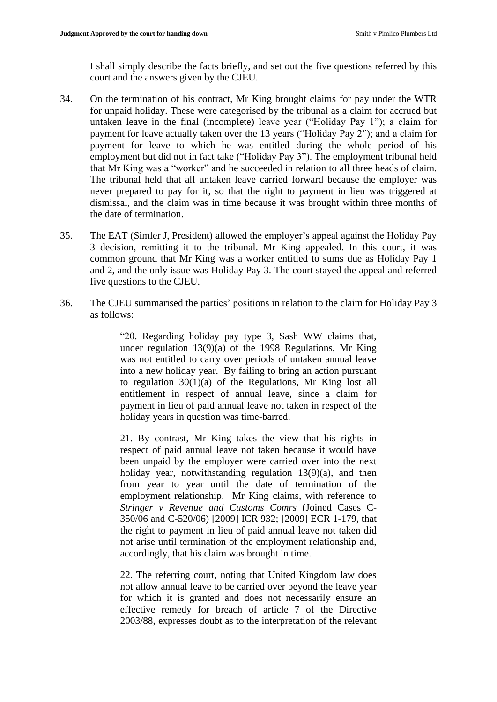I shall simply describe the facts briefly, and set out the five questions referred by this court and the answers given by the CJEU.

- 34. On the termination of his contract, Mr King brought claims for pay under the WTR for unpaid holiday. These were categorised by the tribunal as a claim for accrued but untaken leave in the final (incomplete) leave year ("Holiday Pay 1"); a claim for payment for leave actually taken over the 13 years ("Holiday Pay 2"); and a claim for payment for leave to which he was entitled during the whole period of his employment but did not in fact take ("Holiday Pay 3"). The employment tribunal held that Mr King was a "worker" and he succeeded in relation to all three heads of claim. The tribunal held that all untaken leave carried forward because the employer was never prepared to pay for it, so that the right to payment in lieu was triggered at dismissal, and the claim was in time because it was brought within three months of the date of termination.
- 35. The EAT (Simler J, President) allowed the employer's appeal against the Holiday Pay 3 decision, remitting it to the tribunal. Mr King appealed. In this court, it was common ground that Mr King was a worker entitled to sums due as Holiday Pay 1 and 2, and the only issue was Holiday Pay 3. The court stayed the appeal and referred five questions to the CJEU.
- 36. The CJEU summarised the parties' positions in relation to the claim for Holiday Pay 3 as follows:

"20. Regarding holiday pay type 3, Sash WW claims that, under regulation 13(9)(a) of the 1998 Regulations, Mr King was not entitled to carry over periods of untaken annual leave into a new holiday year. By failing to bring an action pursuant to regulation 30(1)(a) of the Regulations, Mr King lost all entitlement in respect of annual leave, since a claim for payment in lieu of paid annual leave not taken in respect of the holiday years in question was time-barred.

21. By contrast, Mr King takes the view that his rights in respect of paid annual leave not taken because it would have been unpaid by the employer were carried over into the next holiday year, notwithstanding regulation 13(9)(a), and then from year to year until the date of termination of the employment relationship. Mr King claims, with reference to *Stringer v Revenue and Customs Comrs* (Joined Cases C-350/06 and C-520/06) [2009] ICR 932; [2009] ECR 1-179, that the right to payment in lieu of paid annual leave not taken did not arise until termination of the employment relationship and, accordingly, that his claim was brought in time.

22. The referring court, noting that United Kingdom law does not allow annual leave to be carried over beyond the leave year for which it is granted and does not necessarily ensure an effective remedy for breach of article 7 of the Directive 2003/88, expresses doubt as to the interpretation of the relevant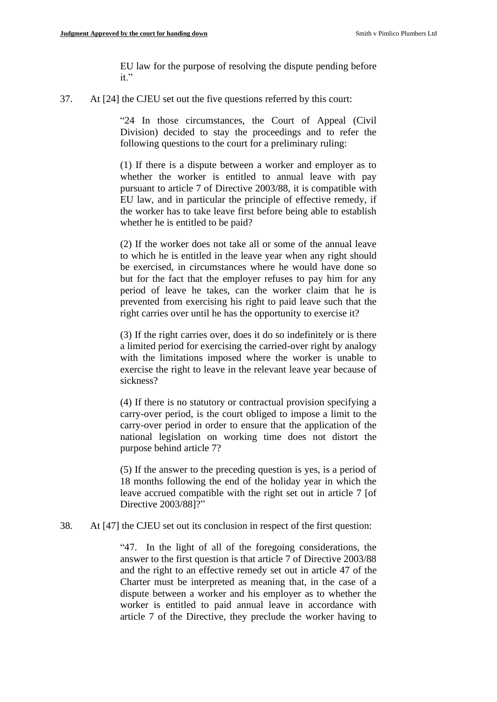EU law for the purpose of resolving the dispute pending before it."

37. At [24] the CJEU set out the five questions referred by this court:

"24 In those circumstances, the Court of Appeal (Civil Division) decided to stay the proceedings and to refer the following questions to the court for a preliminary ruling:

(1) If there is a dispute between a worker and employer as to whether the worker is entitled to annual leave with pay pursuant to article 7 of Directive 2003/88, it is compatible with EU law, and in particular the principle of effective remedy, if the worker has to take leave first before being able to establish whether he is entitled to be paid?

(2) If the worker does not take all or some of the annual leave to which he is entitled in the leave year when any right should be exercised, in circumstances where he would have done so but for the fact that the employer refuses to pay him for any period of leave he takes, can the worker claim that he is prevented from exercising his right to paid leave such that the right carries over until he has the opportunity to exercise it?

(3) If the right carries over, does it do so indefinitely or is there a limited period for exercising the carried-over right by analogy with the limitations imposed where the worker is unable to exercise the right to leave in the relevant leave year because of sickness?

(4) If there is no statutory or contractual provision specifying a carry-over period, is the court obliged to impose a limit to the carry-over period in order to ensure that the application of the national legislation on working time does not distort the purpose behind article 7?

(5) If the answer to the preceding question is yes, is a period of 18 months following the end of the holiday year in which the leave accrued compatible with the right set out in article 7 [of Directive 2003/88]?"

38. At [47] the CJEU set out its conclusion in respect of the first question:

"47. In the light of all of the foregoing considerations, the answer to the first question is that article 7 of Directive 2003/88 and the right to an effective remedy set out in article 47 of the Charter must be interpreted as meaning that, in the case of a dispute between a worker and his employer as to whether the worker is entitled to paid annual leave in accordance with article 7 of the Directive, they preclude the worker having to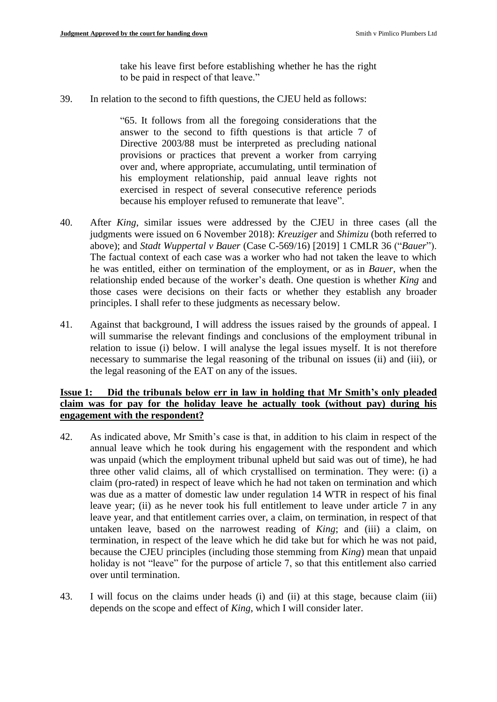take his leave first before establishing whether he has the right to be paid in respect of that leave."

39. In relation to the second to fifth questions, the CJEU held as follows:

"65. It follows from all the foregoing considerations that the answer to the second to fifth questions is that article 7 of Directive 2003/88 must be interpreted as precluding national provisions or practices that prevent a worker from carrying over and, where appropriate, accumulating, until termination of his employment relationship, paid annual leave rights not exercised in respect of several consecutive reference periods because his employer refused to remunerate that leave".

- 40. After *King*, similar issues were addressed by the CJEU in three cases (all the judgments were issued on 6 November 2018): *Kreuziger* and *Shimizu* (both referred to above); and *Stadt Wuppertal v Bauer* (Case C-569/16) [2019] 1 CMLR 36 ("*Bauer*"). The factual context of each case was a worker who had not taken the leave to which he was entitled, either on termination of the employment, or as in *Bauer*, when the relationship ended because of the worker's death. One question is whether *King* and those cases were decisions on their facts or whether they establish any broader principles. I shall refer to these judgments as necessary below.
- 41. Against that background, I will address the issues raised by the grounds of appeal. I will summarise the relevant findings and conclusions of the employment tribunal in relation to issue (i) below. I will analyse the legal issues myself. It is not therefore necessary to summarise the legal reasoning of the tribunal on issues (ii) and (iii), or the legal reasoning of the EAT on any of the issues.

#### **Issue 1: Did the tribunals below err in law in holding that Mr Smith's only pleaded claim was for pay for the holiday leave he actually took (without pay) during his engagement with the respondent?**

- 42. As indicated above, Mr Smith's case is that, in addition to his claim in respect of the annual leave which he took during his engagement with the respondent and which was unpaid (which the employment tribunal upheld but said was out of time), he had three other valid claims, all of which crystallised on termination. They were: (i) a claim (pro-rated) in respect of leave which he had not taken on termination and which was due as a matter of domestic law under regulation 14 WTR in respect of his final leave year; (ii) as he never took his full entitlement to leave under article 7 in any leave year, and that entitlement carries over, a claim, on termination, in respect of that untaken leave, based on the narrowest reading of *King*; and (iii) a claim, on termination, in respect of the leave which he did take but for which he was not paid, because the CJEU principles (including those stemming from *King*) mean that unpaid holiday is not "leave" for the purpose of article 7, so that this entitlement also carried over until termination.
- 43. I will focus on the claims under heads (i) and (ii) at this stage, because claim (iii) depends on the scope and effect of *King*, which I will consider later.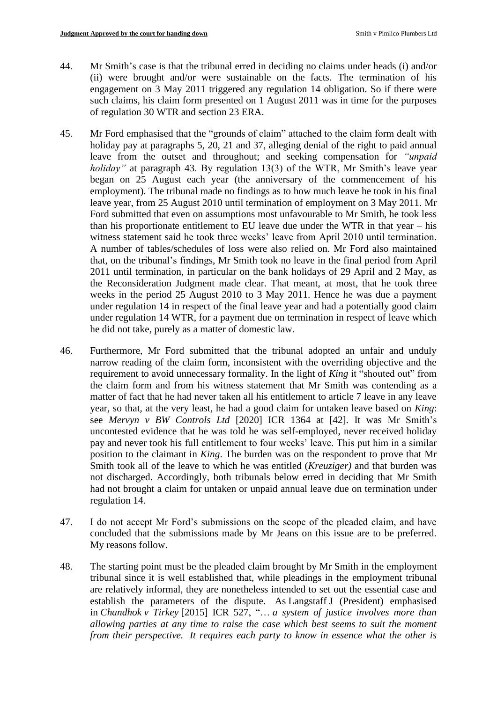- 44. Mr Smith's case is that the tribunal erred in deciding no claims under heads (i) and/or (ii) were brought and/or were sustainable on the facts. The termination of his engagement on 3 May 2011 triggered any regulation 14 obligation. So if there were such claims, his claim form presented on 1 August 2011 was in time for the purposes of regulation 30 WTR and section 23 ERA.
- 45. Mr Ford emphasised that the "grounds of claim" attached to the claim form dealt with holiday pay at paragraphs 5, 20, 21 and 37, alleging denial of the right to paid annual leave from the outset and throughout; and seeking compensation for *"unpaid holiday"* at paragraph 43. By regulation 13(3) of the WTR, Mr Smith's leave year began on 25 August each year (the anniversary of the commencement of his employment). The tribunal made no findings as to how much leave he took in his final leave year, from 25 August 2010 until termination of employment on 3 May 2011. Mr Ford submitted that even on assumptions most unfavourable to Mr Smith, he took less than his proportionate entitlement to EU leave due under the WTR in that year – his witness statement said he took three weeks' leave from April 2010 until termination. A number of tables/schedules of loss were also relied on. Mr Ford also maintained that, on the tribunal's findings, Mr Smith took no leave in the final period from April 2011 until termination, in particular on the bank holidays of 29 April and 2 May, as the Reconsideration Judgment made clear. That meant, at most, that he took three weeks in the period 25 August 2010 to 3 May 2011. Hence he was due a payment under regulation 14 in respect of the final leave year and had a potentially good claim under regulation 14 WTR, for a payment due on termination in respect of leave which he did not take, purely as a matter of domestic law.
- 46. Furthermore, Mr Ford submitted that the tribunal adopted an unfair and unduly narrow reading of the claim form, inconsistent with the overriding objective and the requirement to avoid unnecessary formality. In the light of *King* it "shouted out" from the claim form and from his witness statement that Mr Smith was contending as a matter of fact that he had never taken all his entitlement to article 7 leave in any leave year, so that, at the very least, he had a good claim for untaken leave based on *King*: see *Mervyn v BW Controls Ltd* [2020] ICR 1364 at [42]. It was Mr Smith's uncontested evidence that he was told he was self-employed, never received holiday pay and never took his full entitlement to four weeks' leave. This put him in a similar position to the claimant in *King*. The burden was on the respondent to prove that Mr Smith took all of the leave to which he was entitled (*Kreuziger)* and that burden was not discharged. Accordingly, both tribunals below erred in deciding that Mr Smith had not brought a claim for untaken or unpaid annual leave due on termination under regulation 14.
- 47. I do not accept Mr Ford's submissions on the scope of the pleaded claim, and have concluded that the submissions made by Mr Jeans on this issue are to be preferred. My reasons follow.
- 48. The starting point must be the pleaded claim brought by Mr Smith in the employment tribunal since it is well established that, while pleadings in the employment tribunal are relatively informal, they are nonetheless intended to set out the essential case and establish the parameters of the dispute. As Langstaff J (President) emphasised in *Chandhok v Tirkey* [\[2015\] ICR 527,](https://www.bailii.org/cgi-bin/redirect.cgi?path=/uk/cases/UKEAT/2014/0190_14_1912.html) "… *a system of justice involves more than allowing parties at any time to raise the case which best seems to suit the moment from their perspective. It requires each party to know in essence what the other is*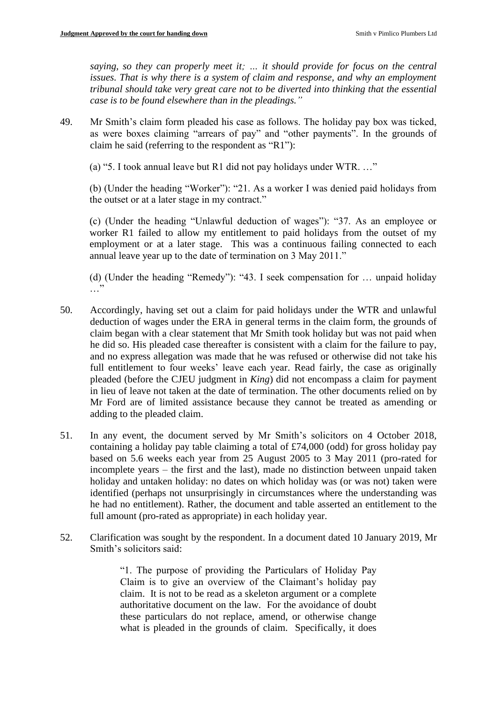*saying, so they can properly meet it; … it should provide for focus on the central issues. That is why there is a system of claim and response, and why an employment tribunal should take very great care not to be diverted into thinking that the essential case is to be found elsewhere than in the pleadings."*

49. Mr Smith's claim form pleaded his case as follows. The holiday pay box was ticked, as were boxes claiming "arrears of pay" and "other payments". In the grounds of claim he said (referring to the respondent as "R1"):

(a) "5. I took annual leave but R1 did not pay holidays under WTR. …"

(b) (Under the heading "Worker"): "21. As a worker I was denied paid holidays from the outset or at a later stage in my contract."

(c) (Under the heading "Unlawful deduction of wages"): "37. As an employee or worker R1 failed to allow my entitlement to paid holidays from the outset of my employment or at a later stage. This was a continuous failing connected to each annual leave year up to the date of termination on 3 May 2011."

(d) (Under the heading "Remedy"): "43. I seek compensation for … unpaid holiday  $\cdot$ .

- 50. Accordingly, having set out a claim for paid holidays under the WTR and unlawful deduction of wages under the ERA in general terms in the claim form, the grounds of claim began with a clear statement that Mr Smith took holiday but was not paid when he did so. His pleaded case thereafter is consistent with a claim for the failure to pay, and no express allegation was made that he was refused or otherwise did not take his full entitlement to four weeks' leave each year. Read fairly, the case as originally pleaded (before the CJEU judgment in *King*) did not encompass a claim for payment in lieu of leave not taken at the date of termination. The other documents relied on by Mr Ford are of limited assistance because they cannot be treated as amending or adding to the pleaded claim.
- 51. In any event, the document served by Mr Smith's solicitors on 4 October 2018, containing a holiday pay table claiming a total of £74,000 (odd) for gross holiday pay based on 5.6 weeks each year from 25 August 2005 to 3 May 2011 (pro-rated for incomplete years – the first and the last), made no distinction between unpaid taken holiday and untaken holiday: no dates on which holiday was (or was not) taken were identified (perhaps not unsurprisingly in circumstances where the understanding was he had no entitlement). Rather, the document and table asserted an entitlement to the full amount (pro-rated as appropriate) in each holiday year.
- 52. Clarification was sought by the respondent. In a document dated 10 January 2019, Mr Smith's solicitors said:

"1. The purpose of providing the Particulars of Holiday Pay Claim is to give an overview of the Claimant's holiday pay claim. It is not to be read as a skeleton argument or a complete authoritative document on the law. For the avoidance of doubt these particulars do not replace, amend, or otherwise change what is pleaded in the grounds of claim. Specifically, it does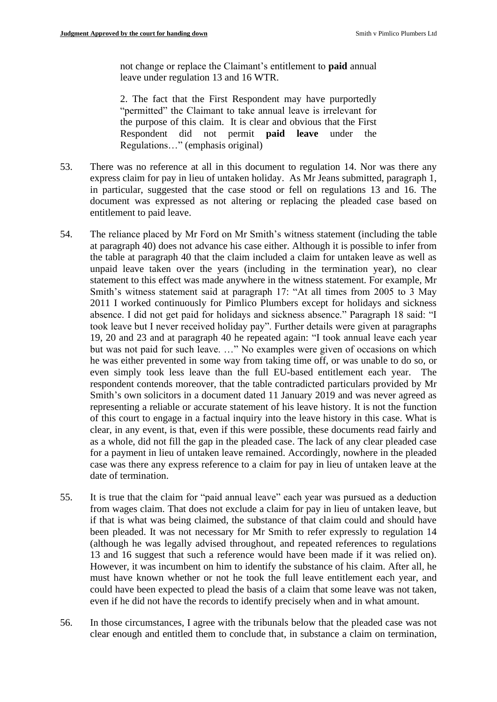not change or replace the Claimant's entitlement to **paid** annual leave under regulation 13 and 16 WTR.

2. The fact that the First Respondent may have purportedly "permitted" the Claimant to take annual leave is irrelevant for the purpose of this claim. It is clear and obvious that the First Respondent did not permit **paid leave** under the Regulations…" (emphasis original)

- 53. There was no reference at all in this document to regulation 14. Nor was there any express claim for pay in lieu of untaken holiday. As Mr Jeans submitted, paragraph 1, in particular, suggested that the case stood or fell on regulations 13 and 16. The document was expressed as not altering or replacing the pleaded case based on entitlement to paid leave.
- 54. The reliance placed by Mr Ford on Mr Smith's witness statement (including the table at paragraph 40) does not advance his case either. Although it is possible to infer from the table at paragraph 40 that the claim included a claim for untaken leave as well as unpaid leave taken over the years (including in the termination year), no clear statement to this effect was made anywhere in the witness statement. For example, Mr Smith's witness statement said at paragraph 17: "At all times from 2005 to 3 May 2011 I worked continuously for Pimlico Plumbers except for holidays and sickness absence. I did not get paid for holidays and sickness absence." Paragraph 18 said: "I took leave but I never received holiday pay". Further details were given at paragraphs 19, 20 and 23 and at paragraph 40 he repeated again: "I took annual leave each year but was not paid for such leave. …" No examples were given of occasions on which he was either prevented in some way from taking time off, or was unable to do so, or even simply took less leave than the full EU-based entitlement each year. The respondent contends moreover, that the table contradicted particulars provided by Mr Smith's own solicitors in a document dated 11 January 2019 and was never agreed as representing a reliable or accurate statement of his leave history. It is not the function of this court to engage in a factual inquiry into the leave history in this case. What is clear, in any event, is that, even if this were possible, these documents read fairly and as a whole, did not fill the gap in the pleaded case. The lack of any clear pleaded case for a payment in lieu of untaken leave remained. Accordingly, nowhere in the pleaded case was there any express reference to a claim for pay in lieu of untaken leave at the date of termination.
- 55. It is true that the claim for "paid annual leave" each year was pursued as a deduction from wages claim. That does not exclude a claim for pay in lieu of untaken leave, but if that is what was being claimed, the substance of that claim could and should have been pleaded. It was not necessary for Mr Smith to refer expressly to regulation 14 (although he was legally advised throughout, and repeated references to regulations 13 and 16 suggest that such a reference would have been made if it was relied on). However, it was incumbent on him to identify the substance of his claim. After all, he must have known whether or not he took the full leave entitlement each year, and could have been expected to plead the basis of a claim that some leave was not taken, even if he did not have the records to identify precisely when and in what amount.
- 56. In those circumstances, I agree with the tribunals below that the pleaded case was not clear enough and entitled them to conclude that, in substance a claim on termination,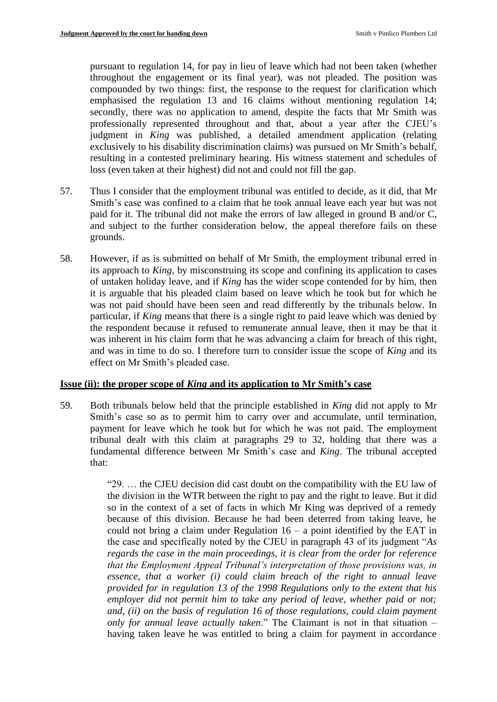pursuant to regulation 14, for pay in lieu of leave which had not been taken (whether throughout the engagement or its final year), was not pleaded. The position was compounded by two things: first, the response to the request for clarification which emphasised the regulation 13 and 16 claims without mentioning regulation 14; secondly, there was no application to amend, despite the facts that Mr Smith was professionally represented throughout and that, about a year after the CJEU's judgment in *King* was published, a detailed amendment application (relating exclusively to his disability discrimination claims) was pursued on Mr Smith's behalf, resulting in a contested preliminary hearing. His witness statement and schedules of loss (even taken at their highest) did not and could not fill the gap.

- 57. Thus I consider that the employment tribunal was entitled to decide, as it did, that Mr Smith's case was confined to a claim that he took annual leave each year but was not paid for it. The tribunal did not make the errors of law alleged in ground B and/or C, and subject to the further consideration below, the appeal therefore fails on these grounds.
- 58. However, if as is submitted on behalf of Mr Smith, the employment tribunal erred in its approach to *King*, by misconstruing its scope and confining its application to cases of untaken holiday leave, and if *King* has the wider scope contended for by him, then it is arguable that his pleaded claim based on leave which he took but for which he was not paid should have been seen and read differently by the tribunals below. In particular, if *King* means that there is a single right to paid leave which was denied by the respondent because it refused to remunerate annual leave, then it may be that it was inherent in his claim form that he was advancing a claim for breach of this right, and was in time to do so. I therefore turn to consider issue the scope of *King* and its effect on Mr Smith's pleaded case.

#### **Issue (ii): the proper scope of** *King* **and its application to Mr Smith's case**

59. Both tribunals below held that the principle established in *King* did not apply to Mr Smith's case so as to permit him to carry over and accumulate, until termination, payment for leave which he took but for which he was not paid. The employment tribunal dealt with this claim at paragraphs 29 to 32, holding that there was a fundamental difference between Mr Smith's case and *King*. The tribunal accepted that:

> "29. … the CJEU decision did cast doubt on the compatibility with the EU law of the division in the WTR between the right to pay and the right to leave. But it did so in the context of a set of facts in which Mr King was deprived of a remedy because of this division. Because he had been deterred from taking leave, he could not bring a claim under Regulation  $16 - a$  point identified by the EAT in the case and specifically noted by the CJEU in paragraph 43 of its judgment "*As regards the case in the main proceedings, it is clear from the order for reference that the Employment Appeal Tribunal's interpretation of those provisions was, in essence, that a worker (i) could claim breach of the right to annual leave provided for in regulation 13 of the 1998 Regulations only to the extent that his employer did not permit him to take any period of leave, whether paid or not; and, (ii) on the basis of regulation 16 of those regulations, could claim payment only for annual leave actually taken*." The Claimant is not in that situation – having taken leave he was entitled to bring a claim for payment in accordance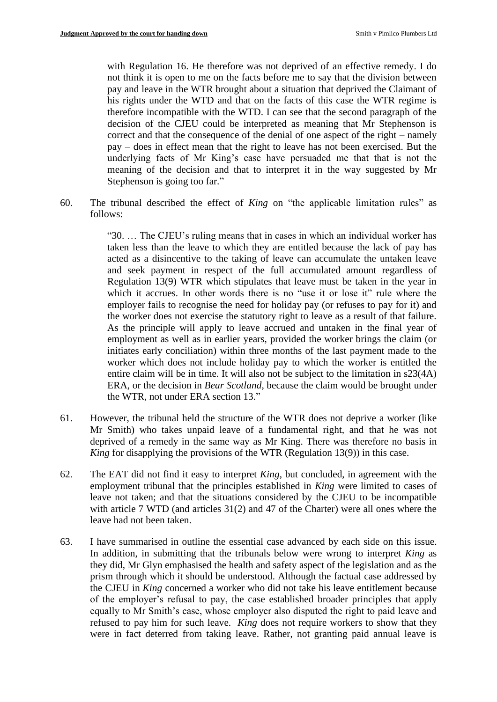with Regulation 16. He therefore was not deprived of an effective remedy. I do not think it is open to me on the facts before me to say that the division between pay and leave in the WTR brought about a situation that deprived the Claimant of his rights under the WTD and that on the facts of this case the WTR regime is therefore incompatible with the WTD. I can see that the second paragraph of the decision of the CJEU could be interpreted as meaning that Mr Stephenson is correct and that the consequence of the denial of one aspect of the right – namely pay – does in effect mean that the right to leave has not been exercised. But the underlying facts of Mr King's case have persuaded me that that is not the meaning of the decision and that to interpret it in the way suggested by Mr Stephenson is going too far."

60. The tribunal described the effect of *King* on "the applicable limitation rules" as follows:

> "30. … The CJEU's ruling means that in cases in which an individual worker has taken less than the leave to which they are entitled because the lack of pay has acted as a disincentive to the taking of leave can accumulate the untaken leave and seek payment in respect of the full accumulated amount regardless of Regulation 13(9) WTR which stipulates that leave must be taken in the year in which it accrues. In other words there is no "use it or lose it" rule where the employer fails to recognise the need for holiday pay (or refuses to pay for it) and the worker does not exercise the statutory right to leave as a result of that failure. As the principle will apply to leave accrued and untaken in the final year of employment as well as in earlier years, provided the worker brings the claim (or initiates early conciliation) within three months of the last payment made to the worker which does not include holiday pay to which the worker is entitled the entire claim will be in time. It will also not be subject to the limitation in s23(4A) ERA, or the decision in *Bear Scotland*, because the claim would be brought under the WTR, not under ERA section 13."

- 61. However, the tribunal held the structure of the WTR does not deprive a worker (like Mr Smith) who takes unpaid leave of a fundamental right, and that he was not deprived of a remedy in the same way as Mr King. There was therefore no basis in *King* for disapplying the provisions of the WTR (Regulation 13(9)) in this case.
- 62. The EAT did not find it easy to interpret *King*, but concluded, in agreement with the employment tribunal that the principles established in *King* were limited to cases of leave not taken; and that the situations considered by the CJEU to be incompatible with article 7 WTD (and articles 31(2) and 47 of the Charter) were all ones where the leave had not been taken.
- 63. I have summarised in outline the essential case advanced by each side on this issue. In addition, in submitting that the tribunals below were wrong to interpret *King* as they did, Mr Glyn emphasised the health and safety aspect of the legislation and as the prism through which it should be understood. Although the factual case addressed by the CJEU in *King* concerned a worker who did not take his leave entitlement because of the employer's refusal to pay, the case established broader principles that apply equally to Mr Smith's case, whose employer also disputed the right to paid leave and refused to pay him for such leave. *King* does not require workers to show that they were in fact deterred from taking leave. Rather, not granting paid annual leave is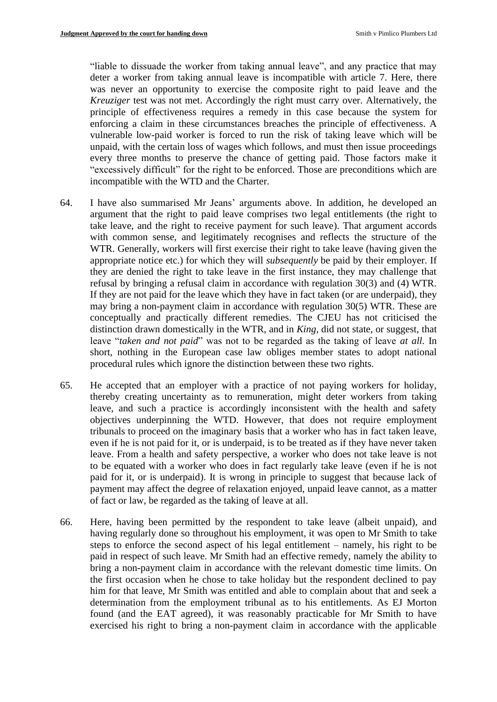"liable to dissuade the worker from taking annual leave", and any practice that may deter a worker from taking annual leave is incompatible with article 7. Here, there was never an opportunity to exercise the composite right to paid leave and the *Kreuziger* test was not met. Accordingly the right must carry over. Alternatively, the principle of effectiveness requires a remedy in this case because the system for enforcing a claim in these circumstances breaches the principle of effectiveness. A vulnerable low-paid worker is forced to run the risk of taking leave which will be unpaid, with the certain loss of wages which follows, and must then issue proceedings every three months to preserve the chance of getting paid. Those factors make it "excessively difficult" for the right to be enforced. Those are preconditions which are incompatible with the WTD and the Charter.

- 64. I have also summarised Mr Jeans' arguments above. In addition, he developed an argument that the right to paid leave comprises two legal entitlements (the right to take leave, and the right to receive payment for such leave). That argument accords with common sense, and legitimately recognises and reflects the structure of the WTR. Generally, workers will first exercise their right to take leave (having given the appropriate notice etc.) for which they will *subsequently* be paid by their employer. If they are denied the right to take leave in the first instance, they may challenge that refusal by bringing a refusal claim in accordance with regulation 30(3) and (4) WTR. If they are not paid for the leave which they have in fact taken (or are underpaid), they may bring a non-payment claim in accordance with regulation 30(5) WTR. These are conceptually and practically different remedies. The CJEU has not criticised the distinction drawn domestically in the WTR, and in *King*, did not state, or suggest, that leave "*taken and not paid*" was not to be regarded as the taking of leave *at all.* In short, nothing in the European case law obliges member states to adopt national procedural rules which ignore the distinction between these two rights.
- 65. He accepted that an employer with a practice of not paying workers for holiday, thereby creating uncertainty as to remuneration, might deter workers from taking leave, and such a practice is accordingly inconsistent with the health and safety objectives underpinning the WTD. However, that does not require employment tribunals to proceed on the imaginary basis that a worker who has in fact taken leave, even if he is not paid for it, or is underpaid, is to be treated as if they have never taken leave. From a health and safety perspective, a worker who does not take leave is not to be equated with a worker who does in fact regularly take leave (even if he is not paid for it, or is underpaid). It is wrong in principle to suggest that because lack of payment may affect the degree of relaxation enjoyed, unpaid leave cannot, as a matter of fact or law, be regarded as the taking of leave at all.
- 66. Here, having been permitted by the respondent to take leave (albeit unpaid), and having regularly done so throughout his employment, it was open to Mr Smith to take steps to enforce the second aspect of his legal entitlement – namely, his right to be paid in respect of such leave. Mr Smith had an effective remedy, namely the ability to bring a non-payment claim in accordance with the relevant domestic time limits. On the first occasion when he chose to take holiday but the respondent declined to pay him for that leave, Mr Smith was entitled and able to complain about that and seek a determination from the employment tribunal as to his entitlements. As EJ Morton found (and the EAT agreed), it was reasonably practicable for Mr Smith to have exercised his right to bring a non-payment claim in accordance with the applicable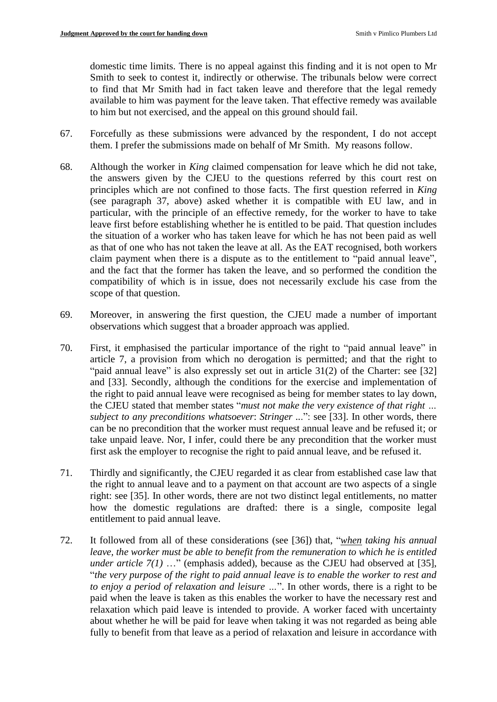domestic time limits. There is no appeal against this finding and it is not open to Mr Smith to seek to contest it, indirectly or otherwise. The tribunals below were correct to find that Mr Smith had in fact taken leave and therefore that the legal remedy available to him was payment for the leave taken. That effective remedy was available to him but not exercised, and the appeal on this ground should fail.

- 67. Forcefully as these submissions were advanced by the respondent, I do not accept them. I prefer the submissions made on behalf of Mr Smith. My reasons follow.
- 68. Although the worker in *King* claimed compensation for leave which he did not take, the answers given by the CJEU to the questions referred by this court rest on principles which are not confined to those facts. The first question referred in *King* (see paragraph 37, above) asked whether it is compatible with EU law, and in particular, with the principle of an effective remedy, for the worker to have to take leave first before establishing whether he is entitled to be paid. That question includes the situation of a worker who has taken leave for which he has not been paid as well as that of one who has not taken the leave at all. As the EAT recognised, both workers claim payment when there is a dispute as to the entitlement to "paid annual leave", and the fact that the former has taken the leave, and so performed the condition the compatibility of which is in issue, does not necessarily exclude his case from the scope of that question.
- 69. Moreover, in answering the first question, the CJEU made a number of important observations which suggest that a broader approach was applied.
- 70. First, it emphasised the particular importance of the right to "paid annual leave" in article 7, a provision from which no derogation is permitted; and that the right to "paid annual leave" is also expressly set out in article 31(2) of the Charter: see [32] and [33]. Secondly, although the conditions for the exercise and implementation of the right to paid annual leave were recognised as being for member states to lay down, the CJEU stated that member states "*must not make the very existence of that right … subject to any preconditions whatsoever*: *Stringer ..*.": see [33]. In other words, there can be no precondition that the worker must request annual leave and be refused it; or take unpaid leave. Nor, I infer, could there be any precondition that the worker must first ask the employer to recognise the right to paid annual leave, and be refused it.
- 71. Thirdly and significantly, the CJEU regarded it as clear from established case law that the right to annual leave and to a payment on that account are two aspects of a single right: see [35]. In other words, there are not two distinct legal entitlements, no matter how the domestic regulations are drafted: there is a single, composite legal entitlement to paid annual leave.
- 72. It followed from all of these considerations (see [36]) that, "*when taking his annual leave, the worker must be able to benefit from the remuneration to which he is entitled under article 7(1)* …" (emphasis added), because as the CJEU had observed at [35], "*the very purpose of the right to paid annual leave is to enable the worker to rest and to enjoy a period of relaxation and leisure …*". In other words, there is a right to be paid when the leave is taken as this enables the worker to have the necessary rest and relaxation which paid leave is intended to provide. A worker faced with uncertainty about whether he will be paid for leave when taking it was not regarded as being able fully to benefit from that leave as a period of relaxation and leisure in accordance with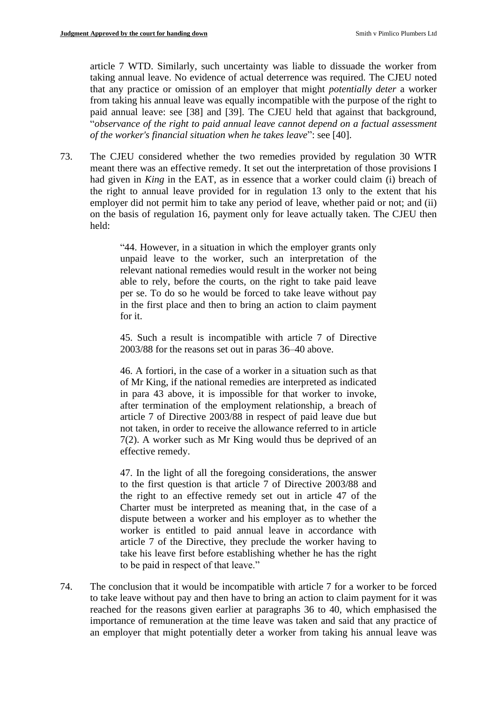article 7 WTD. Similarly, such uncertainty was liable to dissuade the worker from taking annual leave. No evidence of actual deterrence was required. The CJEU noted that any practice or omission of an employer that might *potentially deter* a worker from taking his annual leave was equally incompatible with the purpose of the right to paid annual leave: see [38] and [39]. The CJEU held that against that background, "*observance of the right to paid annual leave cannot depend on a factual assessment of the worker's financial situation when he takes leave*": see [40].

73. The CJEU considered whether the two remedies provided by regulation 30 WTR meant there was an effective remedy. It set out the interpretation of those provisions I had given in *King* in the EAT, as in essence that a worker could claim (i) breach of the right to annual leave provided for in regulation 13 only to the extent that his employer did not permit him to take any period of leave, whether paid or not; and (ii) on the basis of regulation 16, payment only for leave actually taken. The CJEU then held:

> "44. However, in a situation in which the employer grants only unpaid leave to the worker, such an interpretation of the relevant national remedies would result in the worker not being able to rely, before the courts, on the right to take paid leave per se. To do so he would be forced to take leave without pay in the first place and then to bring an action to claim payment for it.

> 45. Such a result is incompatible with article 7 of Directive 2003/88 for the reasons set out in paras 36–40 above.

> 46. A fortiori, in the case of a worker in a situation such as that of Mr King, if the national remedies are interpreted as indicated in para 43 above, it is impossible for that worker to invoke, after termination of the employment relationship, a breach of article 7 of Directive 2003/88 in respect of paid leave due but not taken, in order to receive the allowance referred to in article 7(2). A worker such as Mr King would thus be deprived of an effective remedy.

> 47. In the light of all the foregoing considerations, the answer to the first question is that article 7 of Directive 2003/88 and the right to an effective remedy set out in article 47 of the Charter must be interpreted as meaning that, in the case of a dispute between a worker and his employer as to whether the worker is entitled to paid annual leave in accordance with article 7 of the Directive, they preclude the worker having to take his leave first before establishing whether he has the right to be paid in respect of that leave."

74. The conclusion that it would be incompatible with article 7 for a worker to be forced to take leave without pay and then have to bring an action to claim payment for it was reached for the reasons given earlier at paragraphs 36 to 40, which emphasised the importance of remuneration at the time leave was taken and said that any practice of an employer that might potentially deter a worker from taking his annual leave was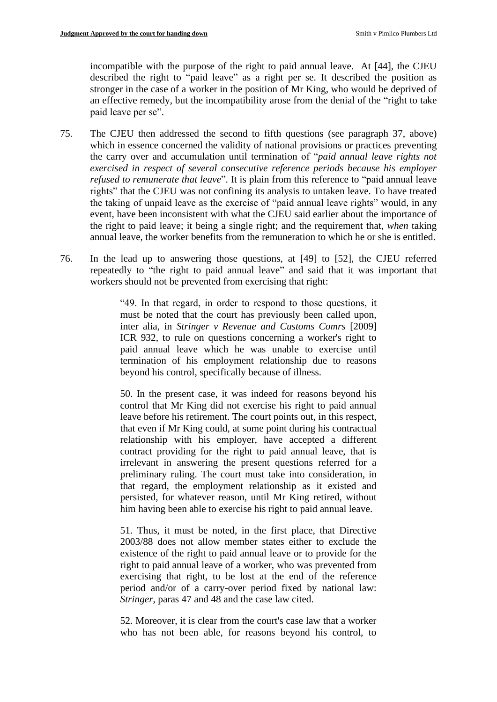incompatible with the purpose of the right to paid annual leave. At [44], the CJEU described the right to "paid leave" as a right per se. It described the position as stronger in the case of a worker in the position of Mr King, who would be deprived of an effective remedy, but the incompatibility arose from the denial of the "right to take paid leave per se".

- 75. The CJEU then addressed the second to fifth questions (see paragraph 37, above) which in essence concerned the validity of national provisions or practices preventing the carry over and accumulation until termination of "*paid annual leave rights not exercised in respect of several consecutive reference periods because his employer refused to remunerate that leave*". It is plain from this reference to "paid annual leave rights" that the CJEU was not confining its analysis to untaken leave. To have treated the taking of unpaid leave as the exercise of "paid annual leave rights" would, in any event, have been inconsistent with what the CJEU said earlier about the importance of the right to paid leave; it being a single right; and the requirement that, *when* taking annual leave, the worker benefits from the remuneration to which he or she is entitled.
- 76. In the lead up to answering those questions, at [49] to [52], the CJEU referred repeatedly to "the right to paid annual leave" and said that it was important that workers should not be prevented from exercising that right:

"49. In that regard, in order to respond to those questions, it must be noted that the court has previously been called upon, inter alia, in *Stringer v Revenue and Customs Comrs* [2009] ICR 932, to rule on questions concerning a worker's right to paid annual leave which he was unable to exercise until termination of his employment relationship due to reasons beyond his control, specifically because of illness.

50. In the present case, it was indeed for reasons beyond his control that Mr King did not exercise his right to paid annual leave before his retirement. The court points out, in this respect, that even if Mr King could, at some point during his contractual relationship with his employer, have accepted a different contract providing for the right to paid annual leave, that is irrelevant in answering the present questions referred for a preliminary ruling. The court must take into consideration, in that regard, the employment relationship as it existed and persisted, for whatever reason, until Mr King retired, without him having been able to exercise his right to paid annual leave.

51. Thus, it must be noted, in the first place, that Directive 2003/88 does not allow member states either to exclude the existence of the right to paid annual leave or to provide for the right to paid annual leave of a worker, who was prevented from exercising that right, to be lost at the end of the reference period and/or of a carry-over period fixed by national law: *Stringer*, paras 47 and 48 and the case law cited.

52. Moreover, it is clear from the court's case law that a worker who has not been able, for reasons beyond his control, to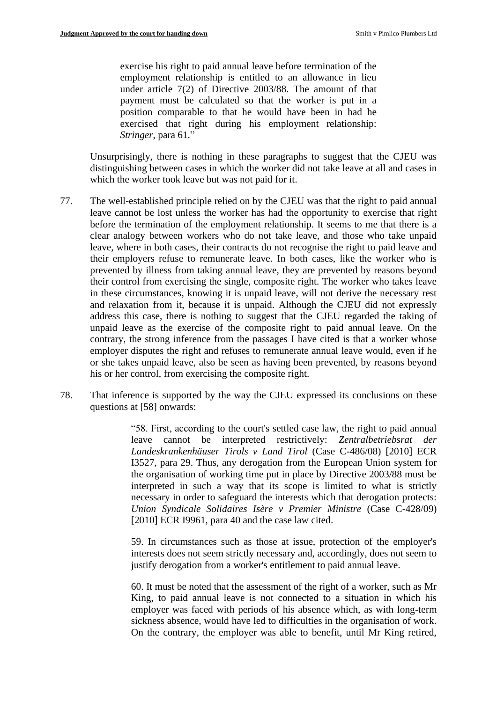exercise his right to paid annual leave before termination of the employment relationship is entitled to an allowance in lieu under article 7(2) of Directive 2003/88. The amount of that payment must be calculated so that the worker is put in a position comparable to that he would have been in had he exercised that right during his employment relationship: *Stringer*, para 61."

Unsurprisingly, there is nothing in these paragraphs to suggest that the CJEU was distinguishing between cases in which the worker did not take leave at all and cases in which the worker took leave but was not paid for it.

- 77. The well-established principle relied on by the CJEU was that the right to paid annual leave cannot be lost unless the worker has had the opportunity to exercise that right before the termination of the employment relationship. It seems to me that there is a clear analogy between workers who do not take leave, and those who take unpaid leave, where in both cases, their contracts do not recognise the right to paid leave and their employers refuse to remunerate leave. In both cases, like the worker who is prevented by illness from taking annual leave, they are prevented by reasons beyond their control from exercising the single, composite right. The worker who takes leave in these circumstances, knowing it is unpaid leave, will not derive the necessary rest and relaxation from it, because it is unpaid. Although the CJEU did not expressly address this case, there is nothing to suggest that the CJEU regarded the taking of unpaid leave as the exercise of the composite right to paid annual leave. On the contrary, the strong inference from the passages I have cited is that a worker whose employer disputes the right and refuses to remunerate annual leave would, even if he or she takes unpaid leave, also be seen as having been prevented, by reasons beyond his or her control, from exercising the composite right.
- 78. That inference is supported by the way the CJEU expressed its conclusions on these questions at [58] onwards:

"58. First, according to the court's settled case law, the right to paid annual leave cannot be interpreted restrictively: *Zentralbetriebsrat der Landeskrankenhäuser Tirols v Land Tirol* (Case C-486/08) [2010] ECR I3527, para 29. Thus, any derogation from the European Union system for the organisation of working time put in place by Directive 2003/88 must be interpreted in such a way that its scope is limited to what is strictly necessary in order to safeguard the interests which that derogation protects: *Union Syndicale Solidaires Isère v Premier Ministre* (Case C-428/09) [2010] ECR 19961, para 40 and the case law cited.

59. In circumstances such as those at issue, protection of the employer's interests does not seem strictly necessary and, accordingly, does not seem to justify derogation from a worker's entitlement to paid annual leave.

60. It must be noted that the assessment of the right of a worker, such as Mr King, to paid annual leave is not connected to a situation in which his employer was faced with periods of his absence which, as with long-term sickness absence, would have led to difficulties in the organisation of work. On the contrary, the employer was able to benefit, until Mr King retired,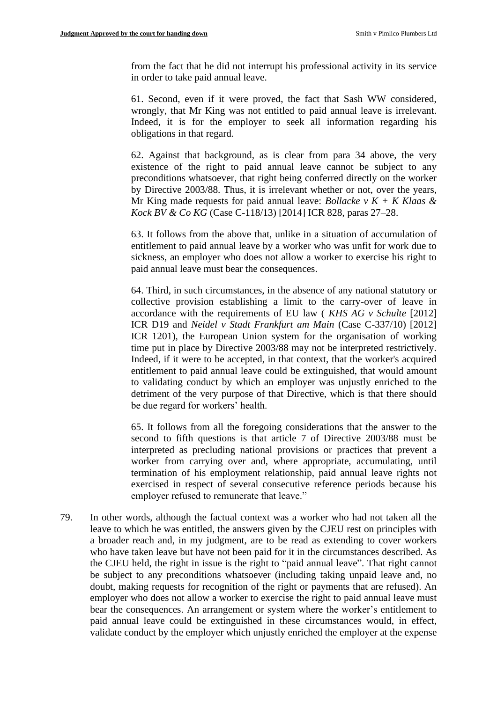from the fact that he did not interrupt his professional activity in its service in order to take paid annual leave.

61. Second, even if it were proved, the fact that Sash WW considered, wrongly, that Mr King was not entitled to paid annual leave is irrelevant. Indeed, it is for the employer to seek all information regarding his obligations in that regard.

62. Against that background, as is clear from para 34 above, the very existence of the right to paid annual leave cannot be subject to any preconditions whatsoever, that right being conferred directly on the worker by Directive 2003/88. Thus, it is irrelevant whether or not, over the years, Mr King made requests for paid annual leave: *Bollacke v K + K Klaas & Kock BV & Co KG* (Case C-118/13) [2014] ICR 828, paras 27–28.

63. It follows from the above that, unlike in a situation of accumulation of entitlement to paid annual leave by a worker who was unfit for work due to sickness, an employer who does not allow a worker to exercise his right to paid annual leave must bear the consequences.

64. Third, in such circumstances, in the absence of any national statutory or collective provision establishing a limit to the carry-over of leave in accordance with the requirements of EU law ( *KHS AG v Schulte* [2012] ICR D19 and *Neidel v Stadt Frankfurt am Main* (Case C-337/10) [2012] ICR 1201), the European Union system for the organisation of working time put in place by Directive 2003/88 may not be interpreted restrictively. Indeed, if it were to be accepted, in that context, that the worker's acquired entitlement to paid annual leave could be extinguished, that would amount to validating conduct by which an employer was unjustly enriched to the detriment of the very purpose of that Directive, which is that there should be due regard for workers' health.

65. It follows from all the foregoing considerations that the answer to the second to fifth questions is that article 7 of Directive 2003/88 must be interpreted as precluding national provisions or practices that prevent a worker from carrying over and, where appropriate, accumulating, until termination of his employment relationship, paid annual leave rights not exercised in respect of several consecutive reference periods because his employer refused to remunerate that leave."

79. In other words, although the factual context was a worker who had not taken all the leave to which he was entitled, the answers given by the CJEU rest on principles with a broader reach and, in my judgment, are to be read as extending to cover workers who have taken leave but have not been paid for it in the circumstances described. As the CJEU held, the right in issue is the right to "paid annual leave". That right cannot be subject to any preconditions whatsoever (including taking unpaid leave and, no doubt, making requests for recognition of the right or payments that are refused). An employer who does not allow a worker to exercise the right to paid annual leave must bear the consequences. An arrangement or system where the worker's entitlement to paid annual leave could be extinguished in these circumstances would, in effect, validate conduct by the employer which unjustly enriched the employer at the expense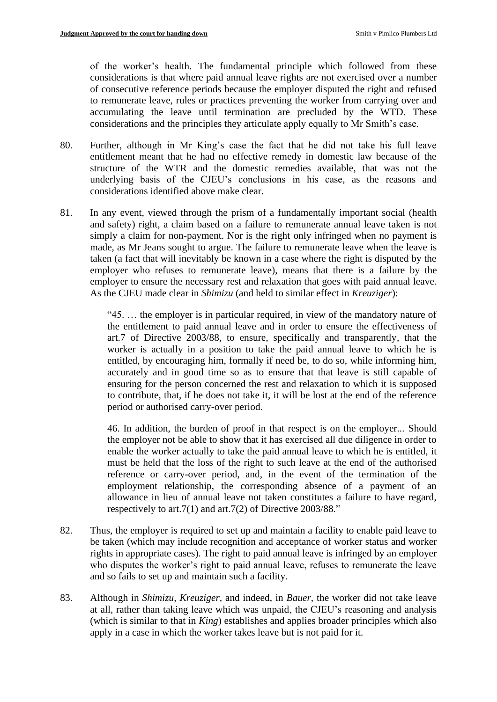of the worker's health. The fundamental principle which followed from these considerations is that where paid annual leave rights are not exercised over a number of consecutive reference periods because the employer disputed the right and refused to remunerate leave, rules or practices preventing the worker from carrying over and accumulating the leave until termination are precluded by the WTD. These considerations and the principles they articulate apply equally to Mr Smith's case.

- 80. Further, although in Mr King's case the fact that he did not take his full leave entitlement meant that he had no effective remedy in domestic law because of the structure of the WTR and the domestic remedies available, that was not the underlying basis of the CJEU's conclusions in his case, as the reasons and considerations identified above make clear.
- 81. In any event, viewed through the prism of a fundamentally important social (health and safety) right, a claim based on a failure to remunerate annual leave taken is not simply a claim for non-payment. Nor is the right only infringed when no payment is made, as Mr Jeans sought to argue. The failure to remunerate leave when the leave is taken (a fact that will inevitably be known in a case where the right is disputed by the employer who refuses to remunerate leave), means that there is a failure by the employer to ensure the necessary rest and relaxation that goes with paid annual leave. As the CJEU made clear in *Shimizu* (and held to similar effect in *Kreuziger*):

"45. … the employer is in particular required, in view of the mandatory nature of the entitlement to paid annual leave and in order to ensure the effectiveness of art.7 of Directive 2003/88, to ensure, specifically and transparently, that the worker is actually in a position to take the paid annual leave to which he is entitled, by encouraging him, formally if need be, to do so, while informing him, accurately and in good time so as to ensure that that leave is still capable of ensuring for the person concerned the rest and relaxation to which it is supposed to contribute, that, if he does not take it, it will be lost at the end of the reference period or authorised carry-over period.

46. In addition, the burden of proof in that respect is on the employer... Should the employer not be able to show that it has exercised all due diligence in order to enable the worker actually to take the paid annual leave to which he is entitled, it must be held that the loss of the right to such leave at the end of the authorised reference or carry-over period, and, in the event of the termination of the employment relationship, the corresponding absence of a payment of an allowance in lieu of annual leave not taken constitutes a failure to have regard, respectively to art.7(1) and art.7(2) of Directive 2003/88."

- 82. Thus, the employer is required to set up and maintain a facility to enable paid leave to be taken (which may include recognition and acceptance of worker status and worker rights in appropriate cases). The right to paid annual leave is infringed by an employer who disputes the worker's right to paid annual leave, refuses to remunerate the leave and so fails to set up and maintain such a facility.
- 83. Although in *Shimizu, Kreuziger,* and indeed, in *Bauer*, the worker did not take leave at all, rather than taking leave which was unpaid, the CJEU's reasoning and analysis (which is similar to that in *King*) establishes and applies broader principles which also apply in a case in which the worker takes leave but is not paid for it.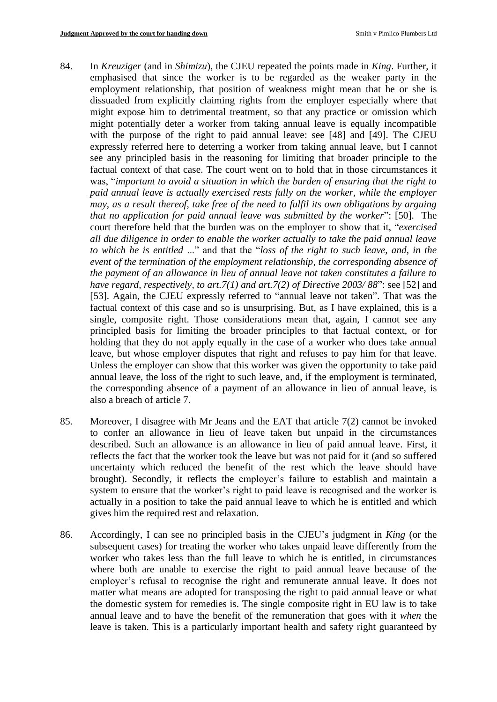- 84. In *Kreuziger* (and in *Shimizu*), the CJEU repeated the points made in *King*. Further, it emphasised that since the worker is to be regarded as the weaker party in the employment relationship, that position of weakness might mean that he or she is dissuaded from explicitly claiming rights from the employer especially where that might expose him to detrimental treatment, so that any practice or omission which might potentially deter a worker from taking annual leave is equally incompatible with the purpose of the right to paid annual leave: see [48] and [49]. The CJEU expressly referred here to deterring a worker from taking annual leave, but I cannot see any principled basis in the reasoning for limiting that broader principle to the factual context of that case. The court went on to hold that in those circumstances it was, "*important to avoid a situation in which the burden of ensuring that the right to paid annual leave is actually exercised rests fully on the worker, while the employer may, as a result thereof, take free of the need to fulfil its own obligations by arguing that no application for paid annual leave was submitted by the worker*": [50]. The court therefore held that the burden was on the employer to show that it, "*exercised all due diligence in order to enable the worker actually to take the paid annual leave to which he is entitled* ..." and that the "*loss of the right to such leave, and, in the event of the termination of the employment relationship, the corresponding absence of the payment of an allowance in lieu of annual leave not taken constitutes a failure to have regard, respectively, to art.7(1) and art.7(2) of Directive 2003/ 88*": see [52] and [53]. Again, the CJEU expressly referred to "annual leave not taken". That was the factual context of this case and so is unsurprising. But, as I have explained, this is a single, composite right. Those considerations mean that, again, I cannot see any principled basis for limiting the broader principles to that factual context, or for holding that they do not apply equally in the case of a worker who does take annual leave, but whose employer disputes that right and refuses to pay him for that leave. Unless the employer can show that this worker was given the opportunity to take paid annual leave, the loss of the right to such leave, and, if the employment is terminated, the corresponding absence of a payment of an allowance in lieu of annual leave, is also a breach of article 7.
- 85. Moreover, I disagree with Mr Jeans and the EAT that article 7(2) cannot be invoked to confer an allowance in lieu of leave taken but unpaid in the circumstances described. Such an allowance is an allowance in lieu of paid annual leave. First, it reflects the fact that the worker took the leave but was not paid for it (and so suffered uncertainty which reduced the benefit of the rest which the leave should have brought). Secondly, it reflects the employer's failure to establish and maintain a system to ensure that the worker's right to paid leave is recognised and the worker is actually in a position to take the paid annual leave to which he is entitled and which gives him the required rest and relaxation.
- 86. Accordingly, I can see no principled basis in the CJEU's judgment in *King* (or the subsequent cases) for treating the worker who takes unpaid leave differently from the worker who takes less than the full leave to which he is entitled, in circumstances where both are unable to exercise the right to paid annual leave because of the employer's refusal to recognise the right and remunerate annual leave. It does not matter what means are adopted for transposing the right to paid annual leave or what the domestic system for remedies is. The single composite right in EU law is to take annual leave and to have the benefit of the remuneration that goes with it *when* the leave is taken. This is a particularly important health and safety right guaranteed by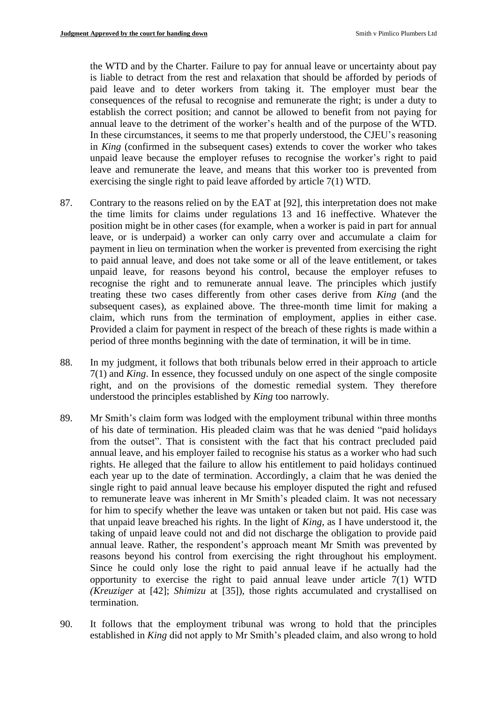the WTD and by the Charter. Failure to pay for annual leave or uncertainty about pay is liable to detract from the rest and relaxation that should be afforded by periods of paid leave and to deter workers from taking it. The employer must bear the consequences of the refusal to recognise and remunerate the right; is under a duty to establish the correct position; and cannot be allowed to benefit from not paying for annual leave to the detriment of the worker's health and of the purpose of the WTD. In these circumstances, it seems to me that properly understood, the CJEU's reasoning in *King* (confirmed in the subsequent cases) extends to cover the worker who takes unpaid leave because the employer refuses to recognise the worker's right to paid leave and remunerate the leave, and means that this worker too is prevented from exercising the single right to paid leave afforded by article 7(1) WTD.

- 87. Contrary to the reasons relied on by the EAT at [92], this interpretation does not make the time limits for claims under regulations 13 and 16 ineffective. Whatever the position might be in other cases (for example, when a worker is paid in part for annual leave, or is underpaid) a worker can only carry over and accumulate a claim for payment in lieu on termination when the worker is prevented from exercising the right to paid annual leave, and does not take some or all of the leave entitlement, or takes unpaid leave, for reasons beyond his control, because the employer refuses to recognise the right and to remunerate annual leave. The principles which justify treating these two cases differently from other cases derive from *King* (and the subsequent cases), as explained above. The three-month time limit for making a claim, which runs from the termination of employment, applies in either case. Provided a claim for payment in respect of the breach of these rights is made within a period of three months beginning with the date of termination, it will be in time.
- 88. In my judgment, it follows that both tribunals below erred in their approach to article 7(1) and *King*. In essence, they focussed unduly on one aspect of the single composite right, and on the provisions of the domestic remedial system. They therefore understood the principles established by *King* too narrowly*.*
- 89. Mr Smith's claim form was lodged with the employment tribunal within three months of his date of termination. His pleaded claim was that he was denied "paid holidays from the outset". That is consistent with the fact that his contract precluded paid annual leave, and his employer failed to recognise his status as a worker who had such rights. He alleged that the failure to allow his entitlement to paid holidays continued each year up to the date of termination. Accordingly, a claim that he was denied the single right to paid annual leave because his employer disputed the right and refused to remunerate leave was inherent in Mr Smith's pleaded claim. It was not necessary for him to specify whether the leave was untaken or taken but not paid. His case was that unpaid leave breached his rights. In the light of *King*, as I have understood it, the taking of unpaid leave could not and did not discharge the obligation to provide paid annual leave. Rather, the respondent's approach meant Mr Smith was prevented by reasons beyond his control from exercising the right throughout his employment. Since he could only lose the right to paid annual leave if he actually had the opportunity to exercise the right to paid annual leave under article 7(1) WTD *(Kreuziger* at [42]; *Shimizu* at [35]), those rights accumulated and crystallised on termination.
- 90. It follows that the employment tribunal was wrong to hold that the principles established in *King* did not apply to Mr Smith's pleaded claim, and also wrong to hold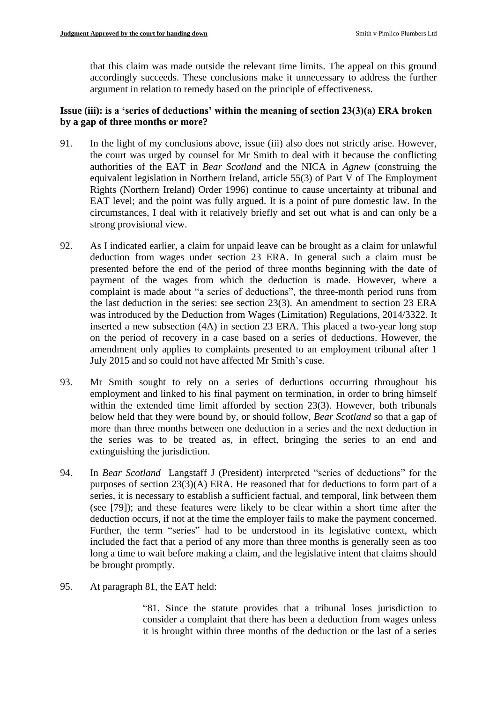that this claim was made outside the relevant time limits. The appeal on this ground accordingly succeeds. These conclusions make it unnecessary to address the further argument in relation to remedy based on the principle of effectiveness.

## **Issue (iii): is a 'series of deductions' within the meaning of section 23(3)(a) ERA broken by a gap of three months or more?**

- 91. In the light of my conclusions above, issue (iii) also does not strictly arise. However, the court was urged by counsel for Mr Smith to deal with it because the conflicting authorities of the EAT in *Bear Scotland* and the NICA in *Agnew* (construing the equivalent legislation in Northern Ireland, article 55(3) of Part V of The Employment Rights (Northern Ireland) Order 1996) continue to cause uncertainty at tribunal and EAT level; and the point was fully argued. It is a point of pure domestic law. In the circumstances, I deal with it relatively briefly and set out what is and can only be a strong provisional view.
- 92. As I indicated earlier, a claim for unpaid leave can be brought as a claim for unlawful deduction from wages under section 23 ERA. In general such a claim must be presented before the end of the period of three months beginning with the date of payment of the wages from which the deduction is made. However, where a complaint is made about "a series of deductions", the three-month period runs from the last deduction in the series: see section 23(3). An amendment to section 23 ERA was introduced by the Deduction from Wages (Limitation) Regulations, 2014/3322. It inserted a new subsection (4A) in section 23 ERA. This placed a two-year long stop on the period of recovery in a case based on a series of deductions. However, the amendment only applies to complaints presented to an employment tribunal after 1 July 2015 and so could not have affected Mr Smith's case.
- 93. Mr Smith sought to rely on a series of deductions occurring throughout his employment and linked to his final payment on termination, in order to bring himself within the extended time limit afforded by section 23(3). However, both tribunals below held that they were bound by, or should follow, *Bear Scotland* so that a gap of more than three months between one deduction in a series and the next deduction in the series was to be treated as, in effect, bringing the series to an end and extinguishing the jurisdiction.
- 94. In *Bear Scotland* Langstaff J (President) interpreted "series of deductions" for the purposes of section 23(3)(A) ERA. He reasoned that for deductions to form part of a series, it is necessary to establish a sufficient factual, and temporal, link between them (see [79]); and these features were likely to be clear within a short time after the deduction occurs, if not at the time the employer fails to make the payment concerned. Further, the term "series" had to be understood in its legislative context, which included the fact that a period of any more than three months is generally seen as too long a time to wait before making a claim, and the legislative intent that claims should be brought promptly.
- 95. At paragraph 81, the EAT held:

"81. Since the statute provides that a tribunal loses jurisdiction to consider a complaint that there has been a deduction from wages unless it is brought within three months of the deduction or the last of a series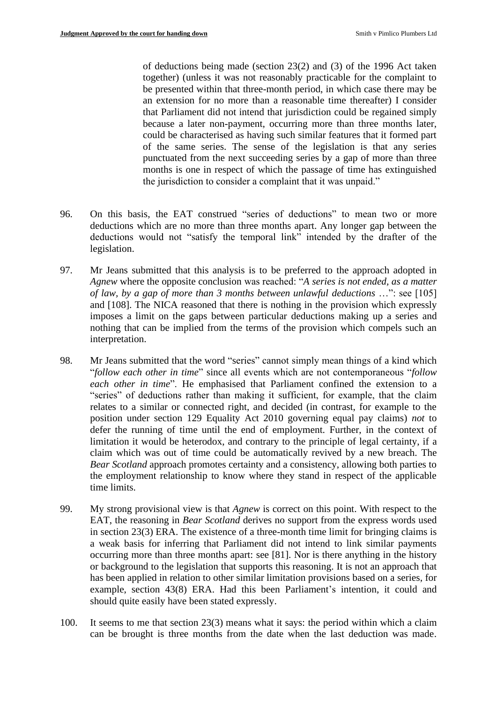of deductions being made (section 23(2) and (3) of the 1996 Act taken together) (unless it was not reasonably practicable for the complaint to be presented within that three-month period, in which case there may be an extension for no more than a reasonable time thereafter) I consider that Parliament did not intend that jurisdiction could be regained simply because a later non-payment, occurring more than three months later, could be characterised as having such similar features that it formed part of the same series. The sense of the legislation is that any series punctuated from the next succeeding series by a gap of more than three months is one in respect of which the passage of time has extinguished the jurisdiction to consider a complaint that it was unpaid."

- 96. On this basis, the EAT construed "series of deductions" to mean two or more deductions which are no more than three months apart. Any longer gap between the deductions would not "satisfy the temporal link" intended by the drafter of the legislation.
- 97. Mr Jeans submitted that this analysis is to be preferred to the approach adopted in *Agnew* where the opposite conclusion was reached: "*A series is not ended, as a matter of law, by a gap of more than 3 months between unlawful deductions* …": see [105] and [108]. The NICA reasoned that there is nothing in the provision which expressly imposes a limit on the gaps between particular deductions making up a series and nothing that can be implied from the terms of the provision which compels such an interpretation.
- 98. Mr Jeans submitted that the word "series" cannot simply mean things of a kind which "*follow each other in time*" since all events which are not contemporaneous "*follow each other in time*". He emphasised that Parliament confined the extension to a "series" of deductions rather than making it sufficient, for example, that the claim relates to a similar or connected right, and decided (in contrast, for example to the position under section 129 Equality Act 2010 governing equal pay claims) *not* to defer the running of time until the end of employment. Further, in the context of limitation it would be heterodox, and contrary to the principle of legal certainty, if a claim which was out of time could be automatically revived by a new breach. The *Bear Scotland* approach promotes certainty and a consistency, allowing both parties to the employment relationship to know where they stand in respect of the applicable time limits.
- 99. My strong provisional view is that *Agnew* is correct on this point. With respect to the EAT, the reasoning in *Bear Scotland* derives no support from the express words used in section 23(3) ERA. The existence of a three-month time limit for bringing claims is a weak basis for inferring that Parliament did not intend to link similar payments occurring more than three months apart: see [81]. Nor is there anything in the history or background to the legislation that supports this reasoning. It is not an approach that has been applied in relation to other similar limitation provisions based on a series, for example, section 43(8) ERA. Had this been Parliament's intention, it could and should quite easily have been stated expressly.
- 100. It seems to me that section 23(3) means what it says: the period within which a claim can be brought is three months from the date when the last deduction was made.